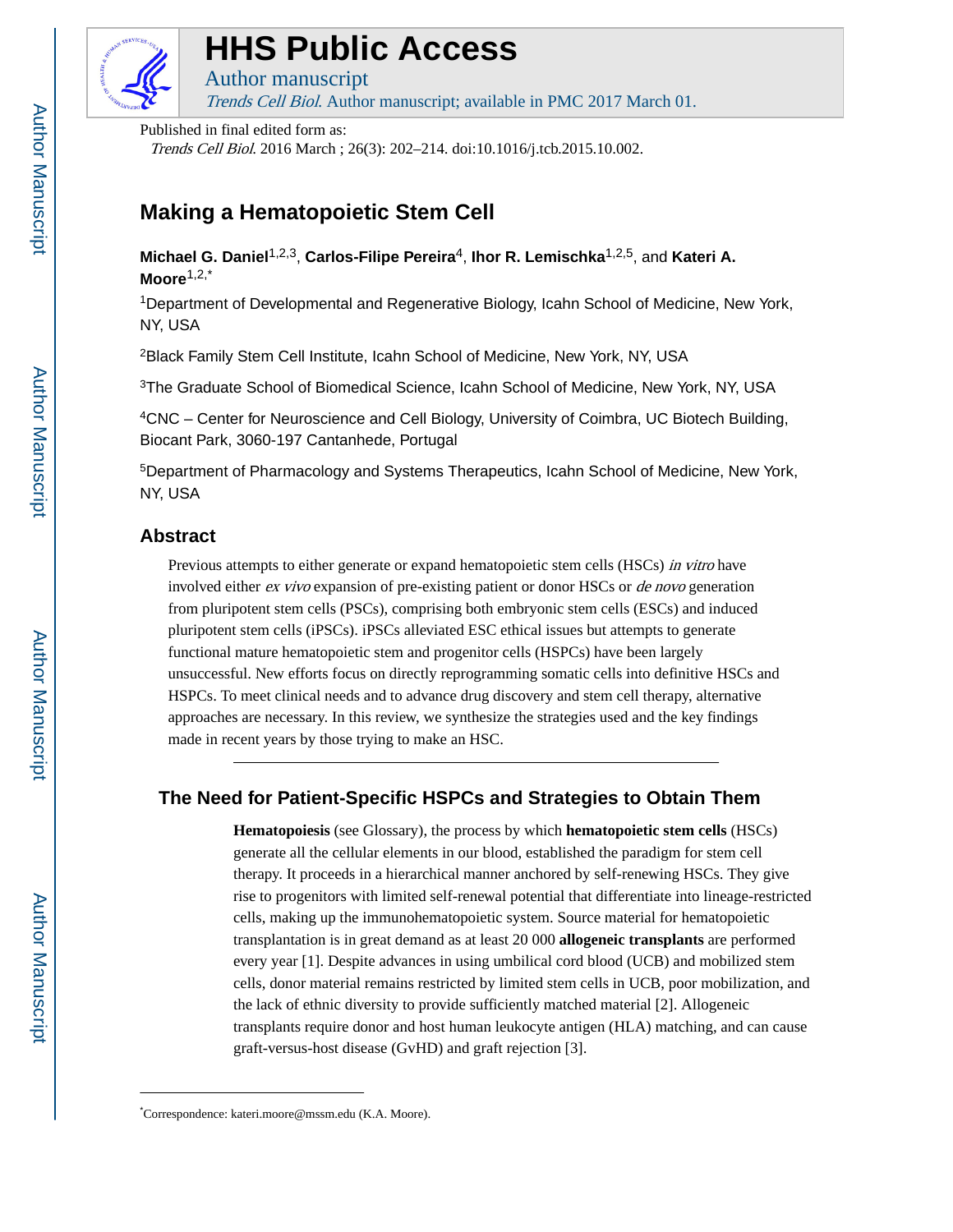

## **HHS Public Access**

Author manuscript Trends Cell Biol. Author manuscript; available in PMC 2017 March 01.

Published in final edited form as:

Trends Cell Biol. 2016 March ; 26(3): 202–214. doi:10.1016/j.tcb.2015.10.002.

## **Making a Hematopoietic Stem Cell**

**Michael G. Daniel**1,2,3, **Carlos-Filipe Pereira**4, **Ihor R. Lemischka**1,2,5, and **Kateri A. Moore**1,2,\*

<sup>1</sup>Department of Developmental and Regenerative Biology, Icahn School of Medicine, New York, NY, USA

<sup>2</sup>Black Family Stem Cell Institute, Icahn School of Medicine, New York, NY, USA

<sup>3</sup>The Graduate School of Biomedical Science, Icahn School of Medicine, New York, NY, USA

<sup>4</sup>CNC – Center for Neuroscience and Cell Biology, University of Coimbra, UC Biotech Building, Biocant Park, 3060-197 Cantanhede, Portugal

<sup>5</sup>Department of Pharmacology and Systems Therapeutics, Icahn School of Medicine, New York, NY, USA

#### **Abstract**

Previous attempts to either generate or expand hematopoietic stem cells (HSCs) in vitro have involved either *ex vivo* expansion of pre-existing patient or donor HSCs or *de novo* generation from pluripotent stem cells (PSCs), comprising both embryonic stem cells (ESCs) and induced pluripotent stem cells (iPSCs). iPSCs alleviated ESC ethical issues but attempts to generate functional mature hematopoietic stem and progenitor cells (HSPCs) have been largely unsuccessful. New efforts focus on directly reprogramming somatic cells into definitive HSCs and HSPCs. To meet clinical needs and to advance drug discovery and stem cell therapy, alternative approaches are necessary. In this review, we synthesize the strategies used and the key findings made in recent years by those trying to make an HSC.

### **The Need for Patient-Specific HSPCs and Strategies to Obtain Them**

**Hematopoiesis** (see Glossary), the process by which **hematopoietic stem cells** (HSCs) generate all the cellular elements in our blood, established the paradigm for stem cell therapy. It proceeds in a hierarchical manner anchored by self-renewing HSCs. They give rise to progenitors with limited self-renewal potential that differentiate into lineage-restricted cells, making up the immunohematopoietic system. Source material for hematopoietic transplantation is in great demand as at least 20 000 **allogeneic transplants** are performed every year [1]. Despite advances in using umbilical cord blood (UCB) and mobilized stem cells, donor material remains restricted by limited stem cells in UCB, poor mobilization, and the lack of ethnic diversity to provide sufficiently matched material [2]. Allogeneic transplants require donor and host human leukocyte antigen (HLA) matching, and can cause graft-versus-host disease (GvHD) and graft rejection [3].

Author Manuscript Author Manuscript

<sup>\*</sup>Correspondence: kateri.moore@mssm.edu (K.A. Moore).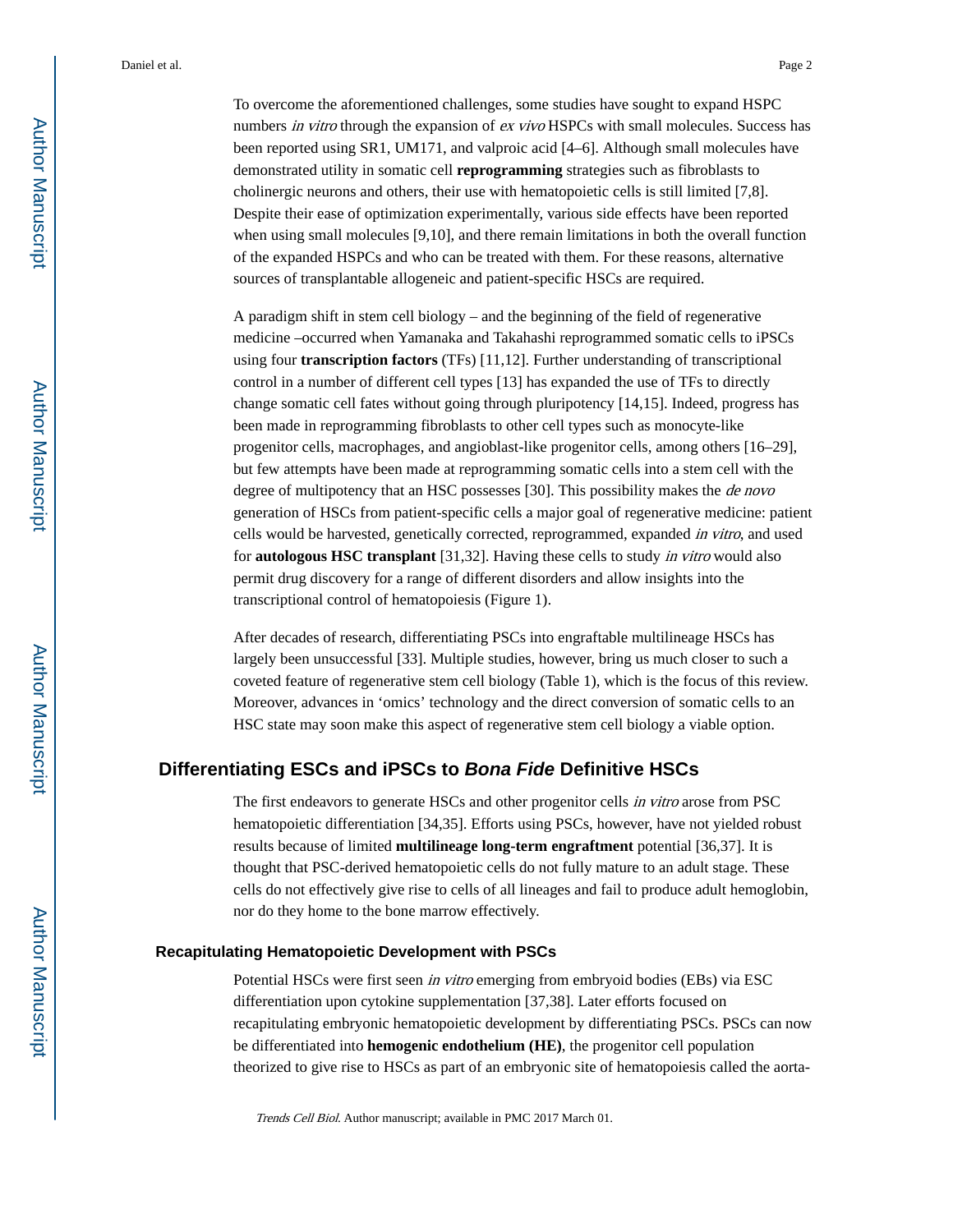To overcome the aforementioned challenges, some studies have sought to expand HSPC numbers in vitro through the expansion of ex vivo HSPCs with small molecules. Success has been reported using SR1, UM171, and valproic acid [4–6]. Although small molecules have demonstrated utility in somatic cell **reprogramming** strategies such as fibroblasts to cholinergic neurons and others, their use with hematopoietic cells is still limited [7,8]. Despite their ease of optimization experimentally, various side effects have been reported when using small molecules [9,10], and there remain limitations in both the overall function of the expanded HSPCs and who can be treated with them. For these reasons, alternative sources of transplantable allogeneic and patient-specific HSCs are required.

A paradigm shift in stem cell biology – and the beginning of the field of regenerative medicine –occurred when Yamanaka and Takahashi reprogrammed somatic cells to iPSCs using four **transcription factors** (TFs) [11,12]. Further understanding of transcriptional control in a number of different cell types [13] has expanded the use of TFs to directly change somatic cell fates without going through pluripotency [14,15]. Indeed, progress has been made in reprogramming fibroblasts to other cell types such as monocyte-like progenitor cells, macrophages, and angioblast-like progenitor cells, among others [16–29], but few attempts have been made at reprogramming somatic cells into a stem cell with the degree of multipotency that an HSC possesses [30]. This possibility makes the *de novo* generation of HSCs from patient-specific cells a major goal of regenerative medicine: patient cells would be harvested, genetically corrected, reprogrammed, expanded in vitro, and used for **autologous HSC transplant** [31,32]. Having these cells to study in vitro would also permit drug discovery for a range of different disorders and allow insights into the transcriptional control of hematopoiesis (Figure 1).

After decades of research, differentiating PSCs into engraftable multilineage HSCs has largely been unsuccessful [33]. Multiple studies, however, bring us much closer to such a coveted feature of regenerative stem cell biology (Table 1), which is the focus of this review. Moreover, advances in 'omics' technology and the direct conversion of somatic cells to an HSC state may soon make this aspect of regenerative stem cell biology a viable option.

#### **Differentiating ESCs and iPSCs to Bona Fide Definitive HSCs**

The first endeavors to generate HSCs and other progenitor cells *in vitro* arose from PSC hematopoietic differentiation [34,35]. Efforts using PSCs, however, have not yielded robust results because of limited **multilineage long-term engraftment** potential [36,37]. It is thought that PSC-derived hematopoietic cells do not fully mature to an adult stage. These cells do not effectively give rise to cells of all lineages and fail to produce adult hemoglobin, nor do they home to the bone marrow effectively.

#### **Recapitulating Hematopoietic Development with PSCs**

Potential HSCs were first seen in vitro emerging from embryoid bodies (EBs) via ESC differentiation upon cytokine supplementation [37,38]. Later efforts focused on recapitulating embryonic hematopoietic development by differentiating PSCs. PSCs can now be differentiated into **hemogenic endothelium (HE)**, the progenitor cell population theorized to give rise to HSCs as part of an embryonic site of hematopoiesis called the aorta-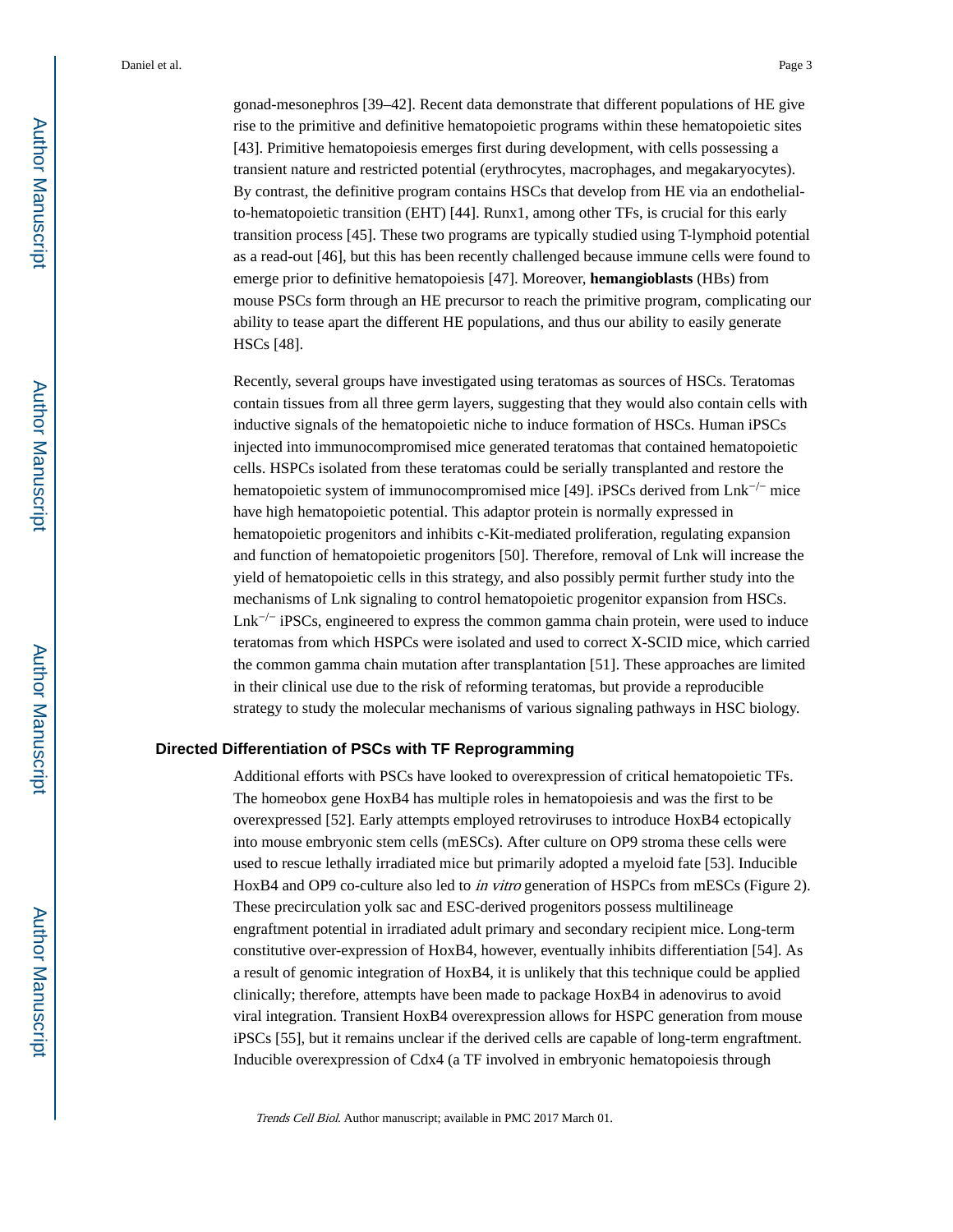gonad-mesonephros [39–42]. Recent data demonstrate that different populations of HE give rise to the primitive and definitive hematopoietic programs within these hematopoietic sites [43]. Primitive hematopoiesis emerges first during development, with cells possessing a transient nature and restricted potential (erythrocytes, macrophages, and megakaryocytes). By contrast, the definitive program contains HSCs that develop from HE via an endothelialto-hematopoietic transition (EHT) [44]. Runx1, among other TFs, is crucial for this early transition process [45]. These two programs are typically studied using T-lymphoid potential as a read-out [46], but this has been recently challenged because immune cells were found to emerge prior to definitive hematopoiesis [47]. Moreover, **hemangioblasts** (HBs) from mouse PSCs form through an HE precursor to reach the primitive program, complicating our ability to tease apart the different HE populations, and thus our ability to easily generate HSCs [48].

Recently, several groups have investigated using teratomas as sources of HSCs. Teratomas contain tissues from all three germ layers, suggesting that they would also contain cells with inductive signals of the hematopoietic niche to induce formation of HSCs. Human iPSCs injected into immunocompromised mice generated teratomas that contained hematopoietic cells. HSPCs isolated from these teratomas could be serially transplanted and restore the hematopoietic system of immunocompromised mice [49]. iPSCs derived from Lnk−/− mice have high hematopoietic potential. This adaptor protein is normally expressed in hematopoietic progenitors and inhibits c-Kit-mediated proliferation, regulating expansion and function of hematopoietic progenitors [50]. Therefore, removal of Lnk will increase the yield of hematopoietic cells in this strategy, and also possibly permit further study into the mechanisms of Lnk signaling to control hematopoietic progenitor expansion from HSCs.  $\text{Lnk}^{-/-}$  iPSCs, engineered to express the common gamma chain protein, were used to induce teratomas from which HSPCs were isolated and used to correct X-SCID mice, which carried the common gamma chain mutation after transplantation [51]. These approaches are limited in their clinical use due to the risk of reforming teratomas, but provide a reproducible strategy to study the molecular mechanisms of various signaling pathways in HSC biology.

#### **Directed Differentiation of PSCs with TF Reprogramming**

Additional efforts with PSCs have looked to overexpression of critical hematopoietic TFs. The homeobox gene HoxB4 has multiple roles in hematopoiesis and was the first to be overexpressed [52]. Early attempts employed retroviruses to introduce HoxB4 ectopically into mouse embryonic stem cells (mESCs). After culture on OP9 stroma these cells were used to rescue lethally irradiated mice but primarily adopted a myeloid fate [53]. Inducible HoxB4 and OP9 co-culture also led to *in vitro* generation of HSPCs from mESCs (Figure 2). These precirculation yolk sac and ESC-derived progenitors possess multilineage engraftment potential in irradiated adult primary and secondary recipient mice. Long-term constitutive over-expression of HoxB4, however, eventually inhibits differentiation [54]. As a result of genomic integration of HoxB4, it is unlikely that this technique could be applied clinically; therefore, attempts have been made to package HoxB4 in adenovirus to avoid viral integration. Transient HoxB4 overexpression allows for HSPC generation from mouse iPSCs [55], but it remains unclear if the derived cells are capable of long-term engraftment. Inducible overexpression of Cdx4 (a TF involved in embryonic hematopoiesis through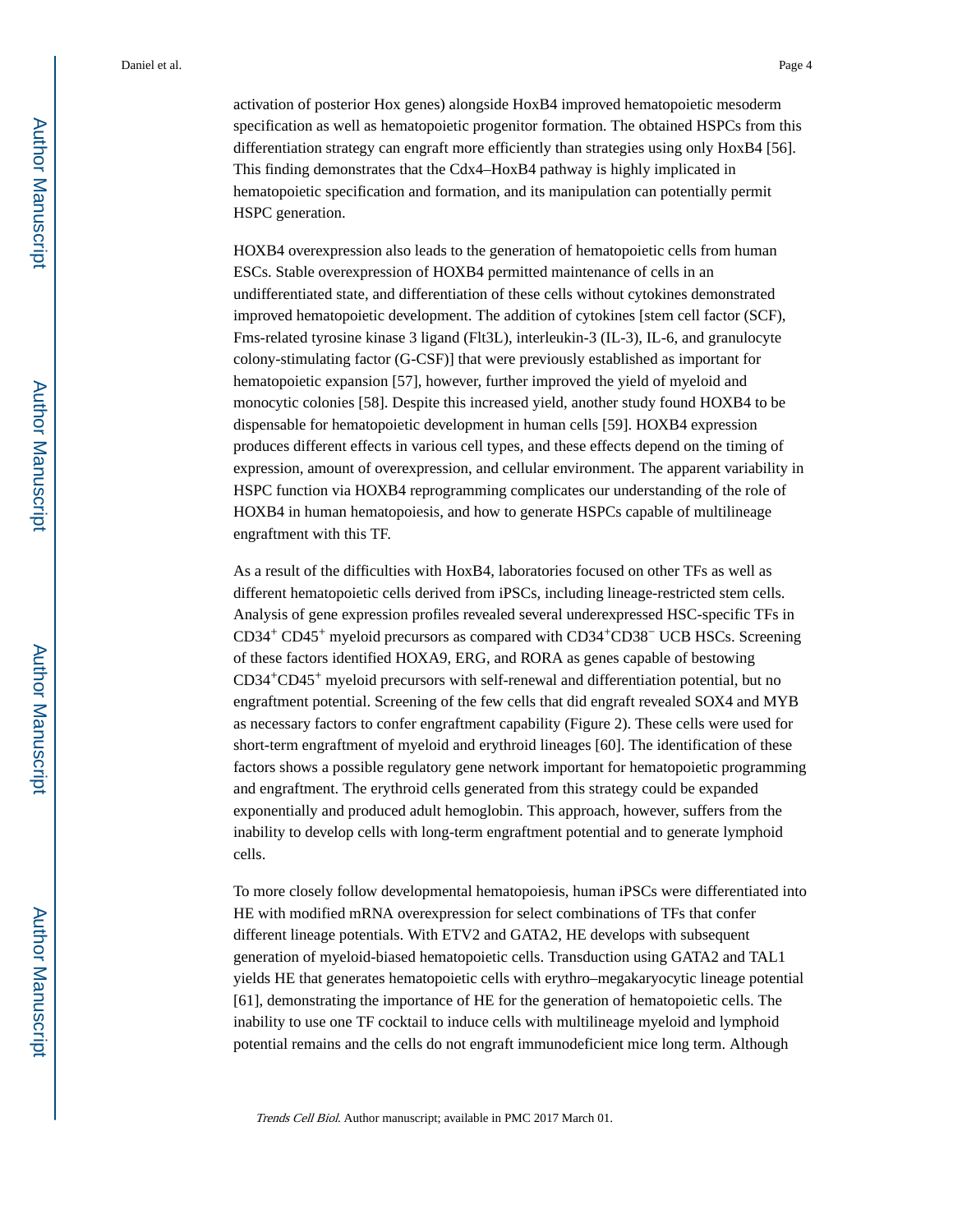activation of posterior Hox genes) alongside HoxB4 improved hematopoietic mesoderm specification as well as hematopoietic progenitor formation. The obtained HSPCs from this differentiation strategy can engraft more efficiently than strategies using only HoxB4 [56]. This finding demonstrates that the Cdx4–HoxB4 pathway is highly implicated in hematopoietic specification and formation, and its manipulation can potentially permit HSPC generation.

HOXB4 overexpression also leads to the generation of hematopoietic cells from human ESCs. Stable overexpression of HOXB4 permitted maintenance of cells in an undifferentiated state, and differentiation of these cells without cytokines demonstrated improved hematopoietic development. The addition of cytokines [stem cell factor (SCF), Fms-related tyrosine kinase 3 ligand (Flt3L), interleukin-3 (IL-3), IL-6, and granulocyte colony-stimulating factor (G-CSF)] that were previously established as important for hematopoietic expansion [57], however, further improved the yield of myeloid and monocytic colonies [58]. Despite this increased yield, another study found HOXB4 to be dispensable for hematopoietic development in human cells [59]. HOXB4 expression produces different effects in various cell types, and these effects depend on the timing of expression, amount of overexpression, and cellular environment. The apparent variability in HSPC function via HOXB4 reprogramming complicates our understanding of the role of HOXB4 in human hematopoiesis, and how to generate HSPCs capable of multilineage engraftment with this TF.

As a result of the difficulties with HoxB4, laboratories focused on other TFs as well as different hematopoietic cells derived from iPSCs, including lineage-restricted stem cells. Analysis of gene expression profiles revealed several underexpressed HSC-specific TFs in CD34+ CD45+ myeloid precursors as compared with CD34+CD38− UCB HSCs. Screening of these factors identified HOXA9, ERG, and RORA as genes capable of bestowing CD34+CD45+ myeloid precursors with self-renewal and differentiation potential, but no engraftment potential. Screening of the few cells that did engraft revealed SOX4 and MYB as necessary factors to confer engraftment capability (Figure 2). These cells were used for short-term engraftment of myeloid and erythroid lineages [60]. The identification of these factors shows a possible regulatory gene network important for hematopoietic programming and engraftment. The erythroid cells generated from this strategy could be expanded exponentially and produced adult hemoglobin. This approach, however, suffers from the inability to develop cells with long-term engraftment potential and to generate lymphoid cells.

To more closely follow developmental hematopoiesis, human iPSCs were differentiated into HE with modified mRNA overexpression for select combinations of TFs that confer different lineage potentials. With ETV2 and GATA2, HE develops with subsequent generation of myeloid-biased hematopoietic cells. Transduction using GATA2 and TAL1 yields HE that generates hematopoietic cells with erythro–megakaryocytic lineage potential [61], demonstrating the importance of HE for the generation of hematopoietic cells. The inability to use one TF cocktail to induce cells with multilineage myeloid and lymphoid potential remains and the cells do not engraft immunodeficient mice long term. Although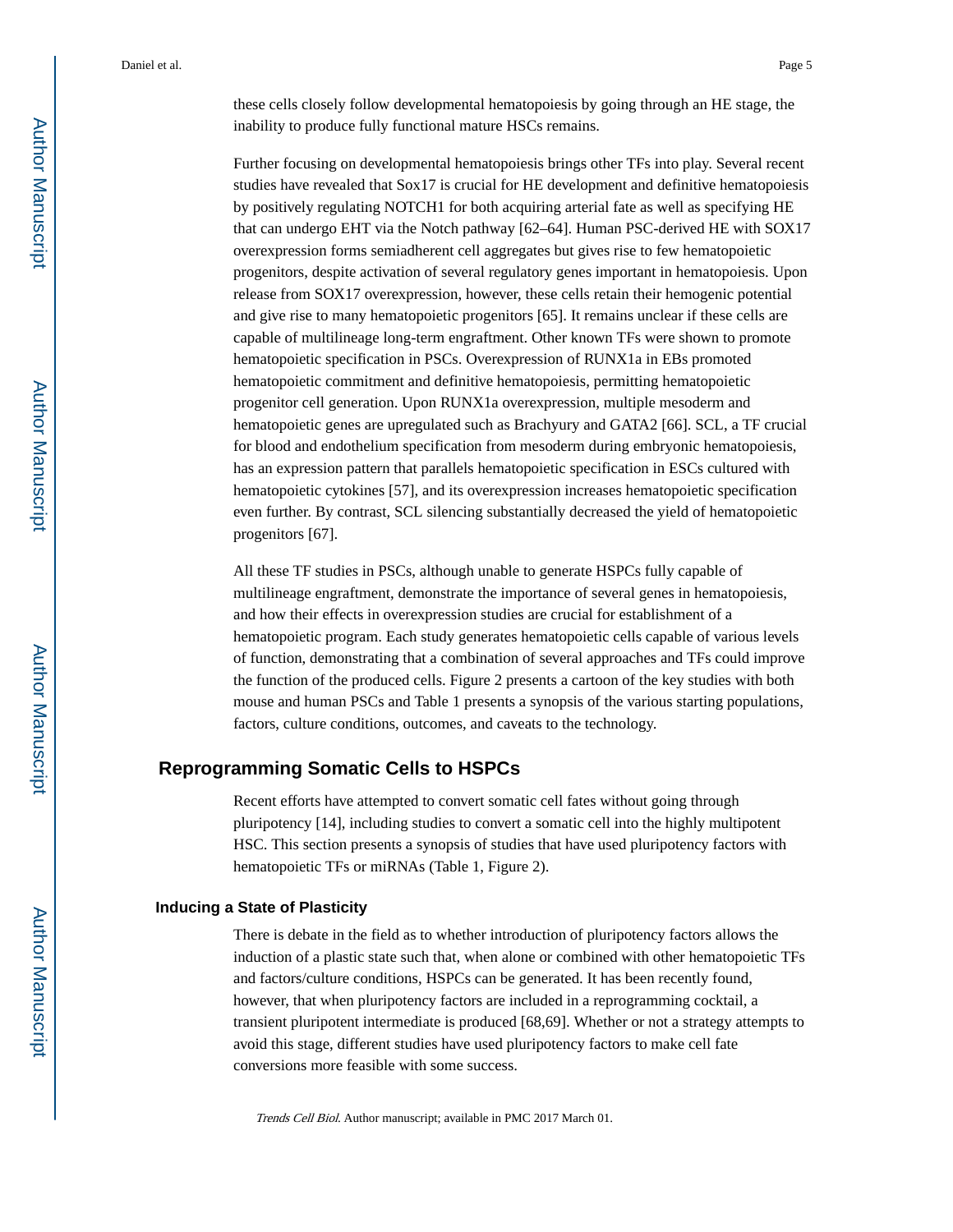these cells closely follow developmental hematopoiesis by going through an HE stage, the inability to produce fully functional mature HSCs remains.

Further focusing on developmental hematopoiesis brings other TFs into play. Several recent studies have revealed that Sox17 is crucial for HE development and definitive hematopoiesis by positively regulating NOTCH1 for both acquiring arterial fate as well as specifying HE that can undergo EHT via the Notch pathway [62–64]. Human PSC-derived HE with SOX17 overexpression forms semiadherent cell aggregates but gives rise to few hematopoietic progenitors, despite activation of several regulatory genes important in hematopoiesis. Upon release from SOX17 overexpression, however, these cells retain their hemogenic potential and give rise to many hematopoietic progenitors [65]. It remains unclear if these cells are capable of multilineage long-term engraftment. Other known TFs were shown to promote hematopoietic specification in PSCs. Overexpression of RUNX1a in EBs promoted hematopoietic commitment and definitive hematopoiesis, permitting hematopoietic progenitor cell generation. Upon RUNX1a overexpression, multiple mesoderm and hematopoietic genes are upregulated such as Brachyury and GATA2 [66]. SCL, a TF crucial for blood and endothelium specification from mesoderm during embryonic hematopoiesis, has an expression pattern that parallels hematopoietic specification in ESCs cultured with hematopoietic cytokines [57], and its overexpression increases hematopoietic specification even further. By contrast, SCL silencing substantially decreased the yield of hematopoietic progenitors [67].

All these TF studies in PSCs, although unable to generate HSPCs fully capable of multilineage engraftment, demonstrate the importance of several genes in hematopoiesis, and how their effects in overexpression studies are crucial for establishment of a hematopoietic program. Each study generates hematopoietic cells capable of various levels of function, demonstrating that a combination of several approaches and TFs could improve the function of the produced cells. Figure 2 presents a cartoon of the key studies with both mouse and human PSCs and Table 1 presents a synopsis of the various starting populations, factors, culture conditions, outcomes, and caveats to the technology.

#### **Reprogramming Somatic Cells to HSPCs**

Recent efforts have attempted to convert somatic cell fates without going through pluripotency [14], including studies to convert a somatic cell into the highly multipotent HSC. This section presents a synopsis of studies that have used pluripotency factors with hematopoietic TFs or miRNAs (Table 1, Figure 2).

#### **Inducing a State of Plasticity**

There is debate in the field as to whether introduction of pluripotency factors allows the induction of a plastic state such that, when alone or combined with other hematopoietic TFs and factors/culture conditions, HSPCs can be generated. It has been recently found, however, that when pluripotency factors are included in a reprogramming cocktail, a transient pluripotent intermediate is produced [68,69]. Whether or not a strategy attempts to avoid this stage, different studies have used pluripotency factors to make cell fate conversions more feasible with some success.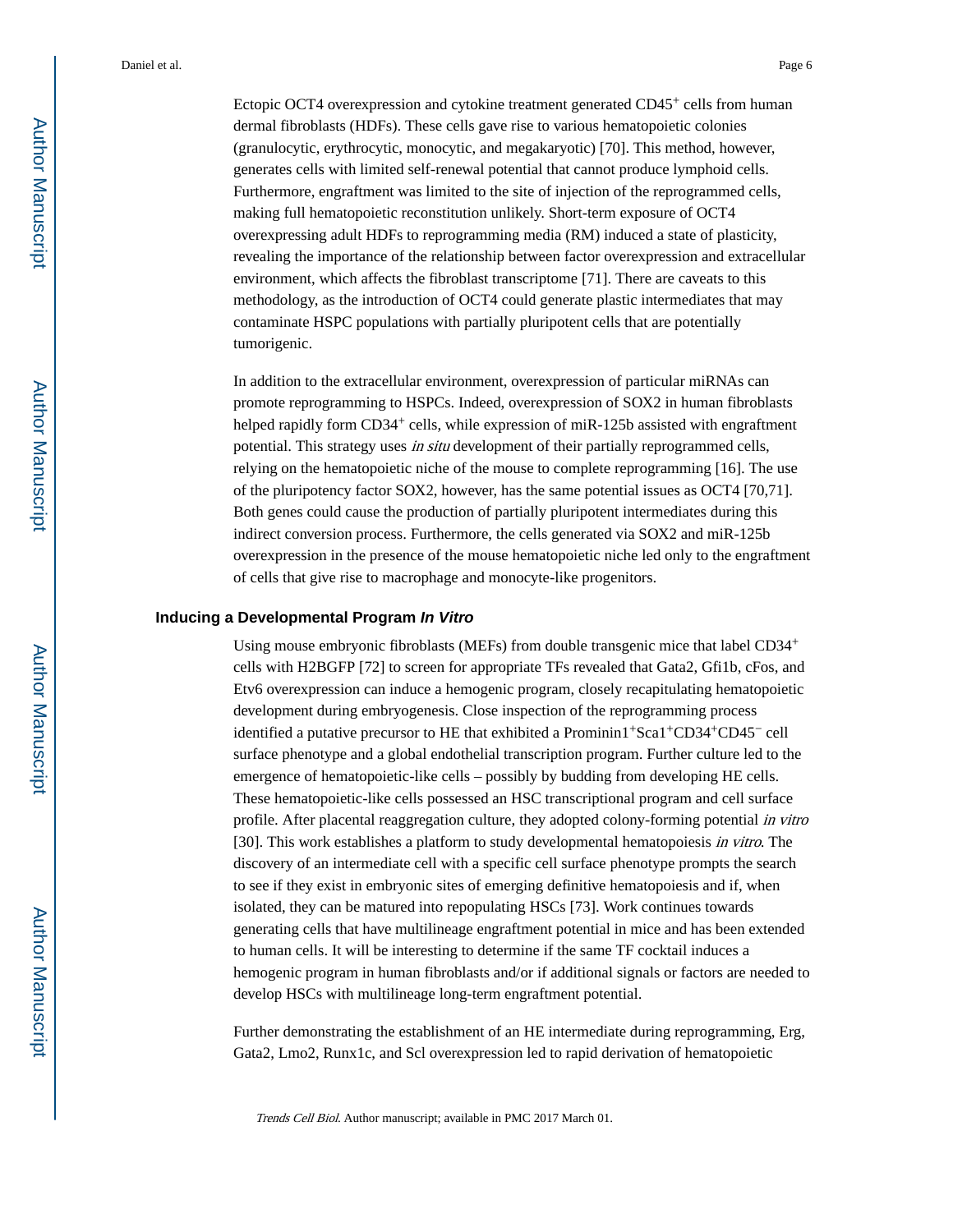Ectopic OCT4 overexpression and cytokine treatment generated CD45<sup>+</sup> cells from human dermal fibroblasts (HDFs). These cells gave rise to various hematopoietic colonies (granulocytic, erythrocytic, monocytic, and megakaryotic) [70]. This method, however, generates cells with limited self-renewal potential that cannot produce lymphoid cells. Furthermore, engraftment was limited to the site of injection of the reprogrammed cells, making full hematopoietic reconstitution unlikely. Short-term exposure of OCT4 overexpressing adult HDFs to reprogramming media (RM) induced a state of plasticity, revealing the importance of the relationship between factor overexpression and extracellular environment, which affects the fibroblast transcriptome [71]. There are caveats to this methodology, as the introduction of OCT4 could generate plastic intermediates that may contaminate HSPC populations with partially pluripotent cells that are potentially tumorigenic.

In addition to the extracellular environment, overexpression of particular miRNAs can promote reprogramming to HSPCs. Indeed, overexpression of SOX2 in human fibroblasts helped rapidly form  $CD34^+$  cells, while expression of miR-125b assisted with engraftment potential. This strategy uses in situ development of their partially reprogrammed cells, relying on the hematopoietic niche of the mouse to complete reprogramming [16]. The use of the pluripotency factor SOX2, however, has the same potential issues as OCT4 [70,71]. Both genes could cause the production of partially pluripotent intermediates during this indirect conversion process. Furthermore, the cells generated via SOX2 and miR-125b overexpression in the presence of the mouse hematopoietic niche led only to the engraftment of cells that give rise to macrophage and monocyte-like progenitors.

#### **Inducing a Developmental Program In Vitro**

Using mouse embryonic fibroblasts (MEFs) from double transgenic mice that label CD34<sup>+</sup> cells with H2BGFP [72] to screen for appropriate TFs revealed that Gata2, Gfi1b, cFos, and Etv6 overexpression can induce a hemogenic program, closely recapitulating hematopoietic development during embryogenesis. Close inspection of the reprogramming process identified a putative precursor to HE that exhibited a Prominin1+Sca1+CD34+CD45− cell surface phenotype and a global endothelial transcription program. Further culture led to the emergence of hematopoietic-like cells – possibly by budding from developing HE cells. These hematopoietic-like cells possessed an HSC transcriptional program and cell surface profile. After placental reaggregation culture, they adopted colony-forming potential in vitro [30]. This work establishes a platform to study developmental hematopoiesis in vitro. The discovery of an intermediate cell with a specific cell surface phenotype prompts the search to see if they exist in embryonic sites of emerging definitive hematopoiesis and if, when isolated, they can be matured into repopulating HSCs [73]. Work continues towards generating cells that have multilineage engraftment potential in mice and has been extended to human cells. It will be interesting to determine if the same TF cocktail induces a hemogenic program in human fibroblasts and/or if additional signals or factors are needed to develop HSCs with multilineage long-term engraftment potential.

Further demonstrating the establishment of an HE intermediate during reprogramming, Erg, Gata2, Lmo2, Runx1c, and Scl overexpression led to rapid derivation of hematopoietic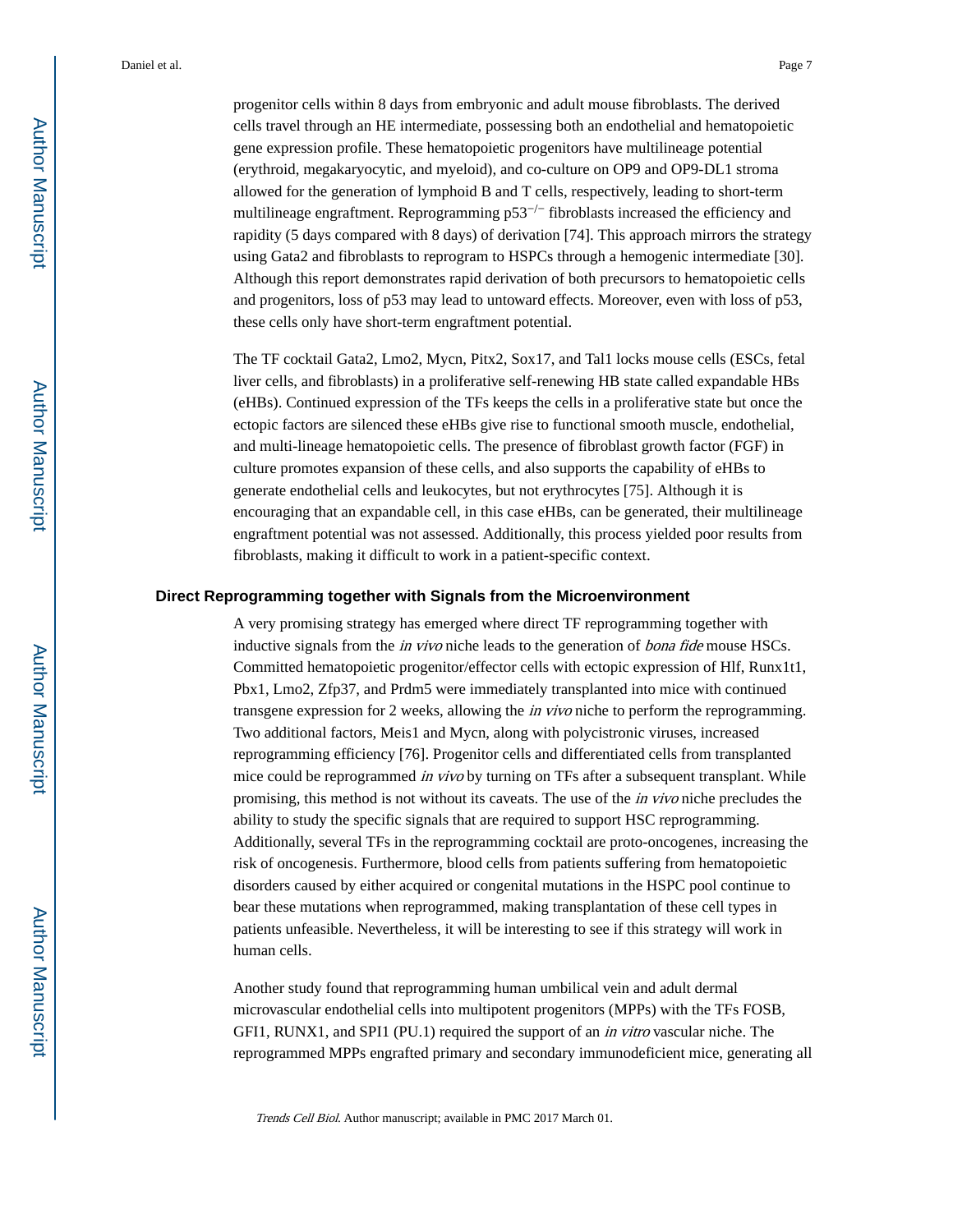progenitor cells within 8 days from embryonic and adult mouse fibroblasts. The derived cells travel through an HE intermediate, possessing both an endothelial and hematopoietic gene expression profile. These hematopoietic progenitors have multilineage potential (erythroid, megakaryocytic, and myeloid), and co-culture on OP9 and OP9-DL1 stroma allowed for the generation of lymphoid B and T cells, respectively, leading to short-term multilineage engraftment. Reprogramming p53−/− fibroblasts increased the efficiency and rapidity (5 days compared with 8 days) of derivation [74]. This approach mirrors the strategy using Gata2 and fibroblasts to reprogram to HSPCs through a hemogenic intermediate [30]. Although this report demonstrates rapid derivation of both precursors to hematopoietic cells and progenitors, loss of p53 may lead to untoward effects. Moreover, even with loss of p53, these cells only have short-term engraftment potential.

The TF cocktail Gata2, Lmo2, Mycn, Pitx2, Sox17, and Tal1 locks mouse cells (ESCs, fetal liver cells, and fibroblasts) in a proliferative self-renewing HB state called expandable HBs (eHBs). Continued expression of the TFs keeps the cells in a proliferative state but once the ectopic factors are silenced these eHBs give rise to functional smooth muscle, endothelial, and multi-lineage hematopoietic cells. The presence of fibroblast growth factor (FGF) in culture promotes expansion of these cells, and also supports the capability of eHBs to generate endothelial cells and leukocytes, but not erythrocytes [75]. Although it is encouraging that an expandable cell, in this case eHBs, can be generated, their multilineage engraftment potential was not assessed. Additionally, this process yielded poor results from fibroblasts, making it difficult to work in a patient-specific context.

#### **Direct Reprogramming together with Signals from the Microenvironment**

A very promising strategy has emerged where direct TF reprogramming together with inductive signals from the *in vivo* niche leads to the generation of *bona fide* mouse HSCs. Committed hematopoietic progenitor/effector cells with ectopic expression of Hlf, Runx1t1, Pbx1, Lmo2, Zfp37, and Prdm5 were immediately transplanted into mice with continued transgene expression for 2 weeks, allowing the in vivo niche to perform the reprogramming. Two additional factors, Meis1 and Mycn, along with polycistronic viruses, increased reprogramming efficiency [76]. Progenitor cells and differentiated cells from transplanted mice could be reprogrammed *in vivo* by turning on TFs after a subsequent transplant. While promising, this method is not without its caveats. The use of the in vivo niche precludes the ability to study the specific signals that are required to support HSC reprogramming. Additionally, several TFs in the reprogramming cocktail are proto-oncogenes, increasing the risk of oncogenesis. Furthermore, blood cells from patients suffering from hematopoietic disorders caused by either acquired or congenital mutations in the HSPC pool continue to bear these mutations when reprogrammed, making transplantation of these cell types in patients unfeasible. Nevertheless, it will be interesting to see if this strategy will work in human cells.

Another study found that reprogramming human umbilical vein and adult dermal microvascular endothelial cells into multipotent progenitors (MPPs) with the TFs FOSB, GFI1, RUNX1, and SPI1 (PU.1) required the support of an in vitro vascular niche. The reprogrammed MPPs engrafted primary and secondary immunodeficient mice, generating all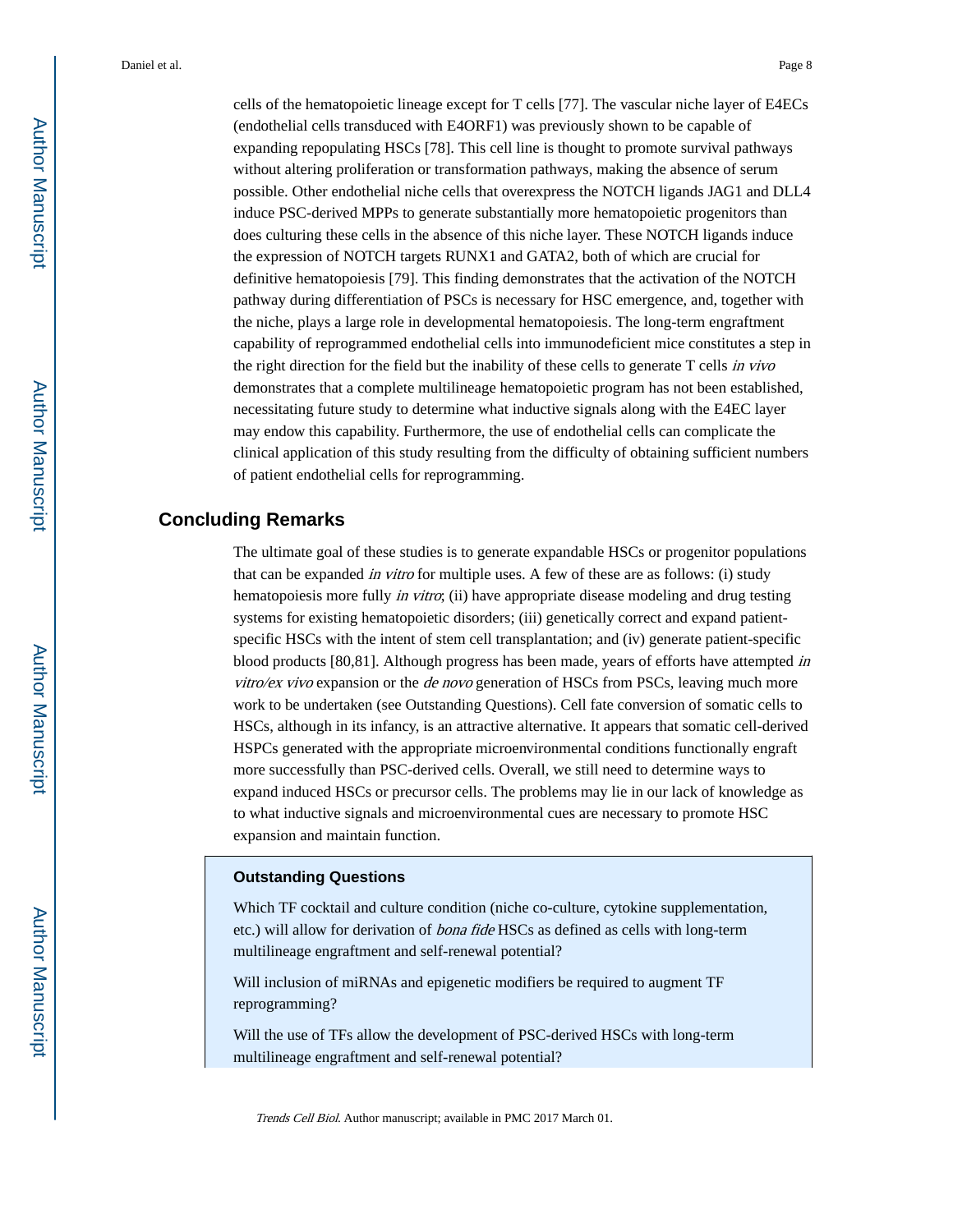cells of the hematopoietic lineage except for T cells [77]. The vascular niche layer of E4ECs (endothelial cells transduced with E4ORF1) was previously shown to be capable of expanding repopulating HSCs [78]. This cell line is thought to promote survival pathways without altering proliferation or transformation pathways, making the absence of serum possible. Other endothelial niche cells that overexpress the NOTCH ligands JAG1 and DLL4 induce PSC-derived MPPs to generate substantially more hematopoietic progenitors than does culturing these cells in the absence of this niche layer. These NOTCH ligands induce the expression of NOTCH targets RUNX1 and GATA2, both of which are crucial for definitive hematopoiesis [79]. This finding demonstrates that the activation of the NOTCH pathway during differentiation of PSCs is necessary for HSC emergence, and, together with the niche, plays a large role in developmental hematopoiesis. The long-term engraftment capability of reprogrammed endothelial cells into immunodeficient mice constitutes a step in the right direction for the field but the inability of these cells to generate T cells in vivo demonstrates that a complete multilineage hematopoietic program has not been established, necessitating future study to determine what inductive signals along with the E4EC layer may endow this capability. Furthermore, the use of endothelial cells can complicate the clinical application of this study resulting from the difficulty of obtaining sufficient numbers of patient endothelial cells for reprogramming.

#### **Concluding Remarks**

The ultimate goal of these studies is to generate expandable HSCs or progenitor populations that can be expanded in vitro for multiple uses. A few of these are as follows: (i) study hematopoiesis more fully *in vitro*; (ii) have appropriate disease modeling and drug testing systems for existing hematopoietic disorders; (iii) genetically correct and expand patientspecific HSCs with the intent of stem cell transplantation; and (iv) generate patient-specific blood products [80,81]. Although progress has been made, years of efforts have attempted in  $vitro$ /ex vivo expansion or the *de novo* generation of HSCs from PSCs, leaving much more work to be undertaken (see Outstanding Questions). Cell fate conversion of somatic cells to HSCs, although in its infancy, is an attractive alternative. It appears that somatic cell-derived HSPCs generated with the appropriate microenvironmental conditions functionally engraft more successfully than PSC-derived cells. Overall, we still need to determine ways to expand induced HSCs or precursor cells. The problems may lie in our lack of knowledge as to what inductive signals and microenvironmental cues are necessary to promote HSC expansion and maintain function.

#### **Outstanding Questions**

Which TF cocktail and culture condition (niche co-culture, cytokine supplementation, etc.) will allow for derivation of bona fide HSCs as defined as cells with long-term multilineage engraftment and self-renewal potential?

Will inclusion of miRNAs and epigenetic modifiers be required to augment TF reprogramming?

Will the use of TFs allow the development of PSC-derived HSCs with long-term multilineage engraftment and self-renewal potential?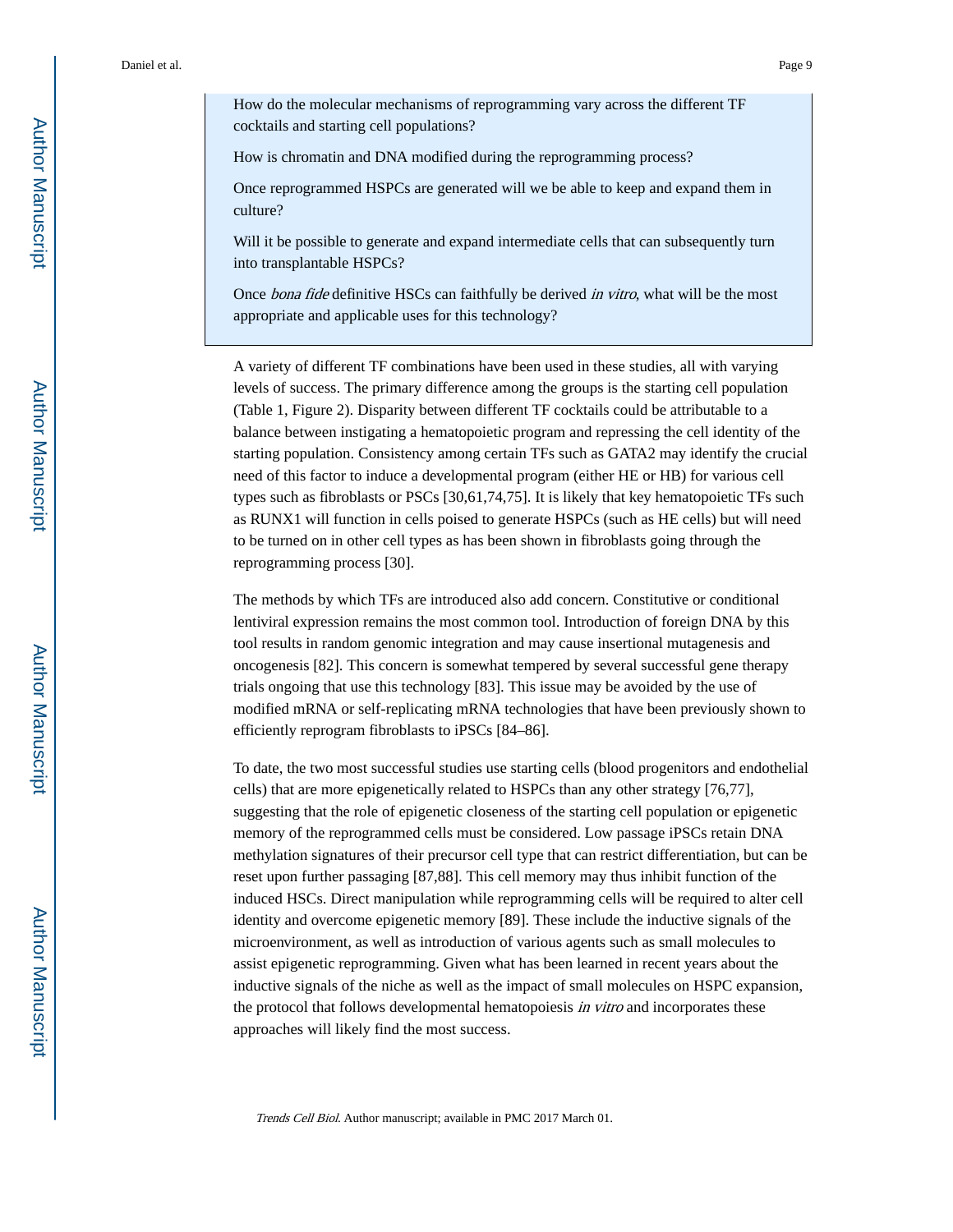How do the molecular mechanisms of reprogramming vary across the different TF cocktails and starting cell populations?

How is chromatin and DNA modified during the reprogramming process?

Once reprogrammed HSPCs are generated will we be able to keep and expand them in culture?

Will it be possible to generate and expand intermediate cells that can subsequently turn into transplantable HSPCs?

Once *bona fide* definitive HSCs can faithfully be derived *in vitro*, what will be the most appropriate and applicable uses for this technology?

A variety of different TF combinations have been used in these studies, all with varying levels of success. The primary difference among the groups is the starting cell population (Table 1, Figure 2). Disparity between different TF cocktails could be attributable to a balance between instigating a hematopoietic program and repressing the cell identity of the starting population. Consistency among certain TFs such as GATA2 may identify the crucial need of this factor to induce a developmental program (either HE or HB) for various cell types such as fibroblasts or PSCs [30,61,74,75]. It is likely that key hematopoietic TFs such as RUNX1 will function in cells poised to generate HSPCs (such as HE cells) but will need to be turned on in other cell types as has been shown in fibroblasts going through the reprogramming process [30].

The methods by which TFs are introduced also add concern. Constitutive or conditional lentiviral expression remains the most common tool. Introduction of foreign DNA by this tool results in random genomic integration and may cause insertional mutagenesis and oncogenesis [82]. This concern is somewhat tempered by several successful gene therapy trials ongoing that use this technology [83]. This issue may be avoided by the use of modified mRNA or self-replicating mRNA technologies that have been previously shown to efficiently reprogram fibroblasts to iPSCs [84–86].

To date, the two most successful studies use starting cells (blood progenitors and endothelial cells) that are more epigenetically related to HSPCs than any other strategy [76,77], suggesting that the role of epigenetic closeness of the starting cell population or epigenetic memory of the reprogrammed cells must be considered. Low passage iPSCs retain DNA methylation signatures of their precursor cell type that can restrict differentiation, but can be reset upon further passaging [87,88]. This cell memory may thus inhibit function of the induced HSCs. Direct manipulation while reprogramming cells will be required to alter cell identity and overcome epigenetic memory [89]. These include the inductive signals of the microenvironment, as well as introduction of various agents such as small molecules to assist epigenetic reprogramming. Given what has been learned in recent years about the inductive signals of the niche as well as the impact of small molecules on HSPC expansion, the protocol that follows developmental hematopoiesis in vitro and incorporates these approaches will likely find the most success.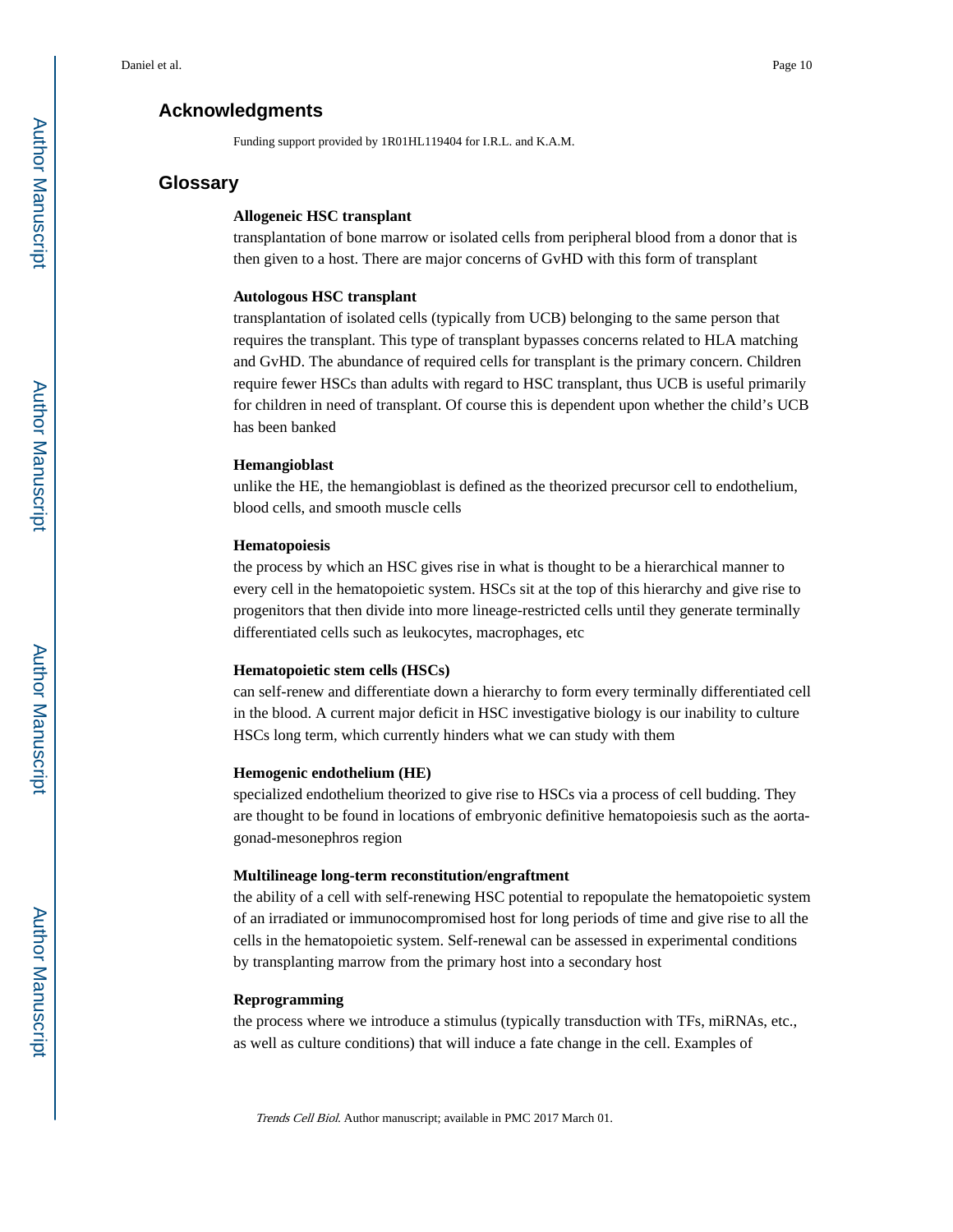#### **Acknowledgments**

Funding support provided by 1R01HL119404 for I.R.L. and K.A.M.

#### **Glossary**

#### **Allogeneic HSC transplant**

transplantation of bone marrow or isolated cells from peripheral blood from a donor that is then given to a host. There are major concerns of GvHD with this form of transplant

#### **Autologous HSC transplant**

transplantation of isolated cells (typically from UCB) belonging to the same person that requires the transplant. This type of transplant bypasses concerns related to HLA matching and GvHD. The abundance of required cells for transplant is the primary concern. Children require fewer HSCs than adults with regard to HSC transplant, thus UCB is useful primarily for children in need of transplant. Of course this is dependent upon whether the child's UCB has been banked

#### **Hemangioblast**

unlike the HE, the hemangioblast is defined as the theorized precursor cell to endothelium, blood cells, and smooth muscle cells

#### **Hematopoiesis**

the process by which an HSC gives rise in what is thought to be a hierarchical manner to every cell in the hematopoietic system. HSCs sit at the top of this hierarchy and give rise to progenitors that then divide into more lineage-restricted cells until they generate terminally differentiated cells such as leukocytes, macrophages, etc

#### **Hematopoietic stem cells (HSCs)**

can self-renew and differentiate down a hierarchy to form every terminally differentiated cell in the blood. A current major deficit in HSC investigative biology is our inability to culture HSCs long term, which currently hinders what we can study with them

#### **Hemogenic endothelium (HE)**

specialized endothelium theorized to give rise to HSCs via a process of cell budding. They are thought to be found in locations of embryonic definitive hematopoiesis such as the aortagonad-mesonephros region

#### **Multilineage long-term reconstitution/engraftment**

the ability of a cell with self-renewing HSC potential to repopulate the hematopoietic system of an irradiated or immunocompromised host for long periods of time and give rise to all the cells in the hematopoietic system. Self-renewal can be assessed in experimental conditions by transplanting marrow from the primary host into a secondary host

#### **Reprogramming**

the process where we introduce a stimulus (typically transduction with TFs, miRNAs, etc., as well as culture conditions) that will induce a fate change in the cell. Examples of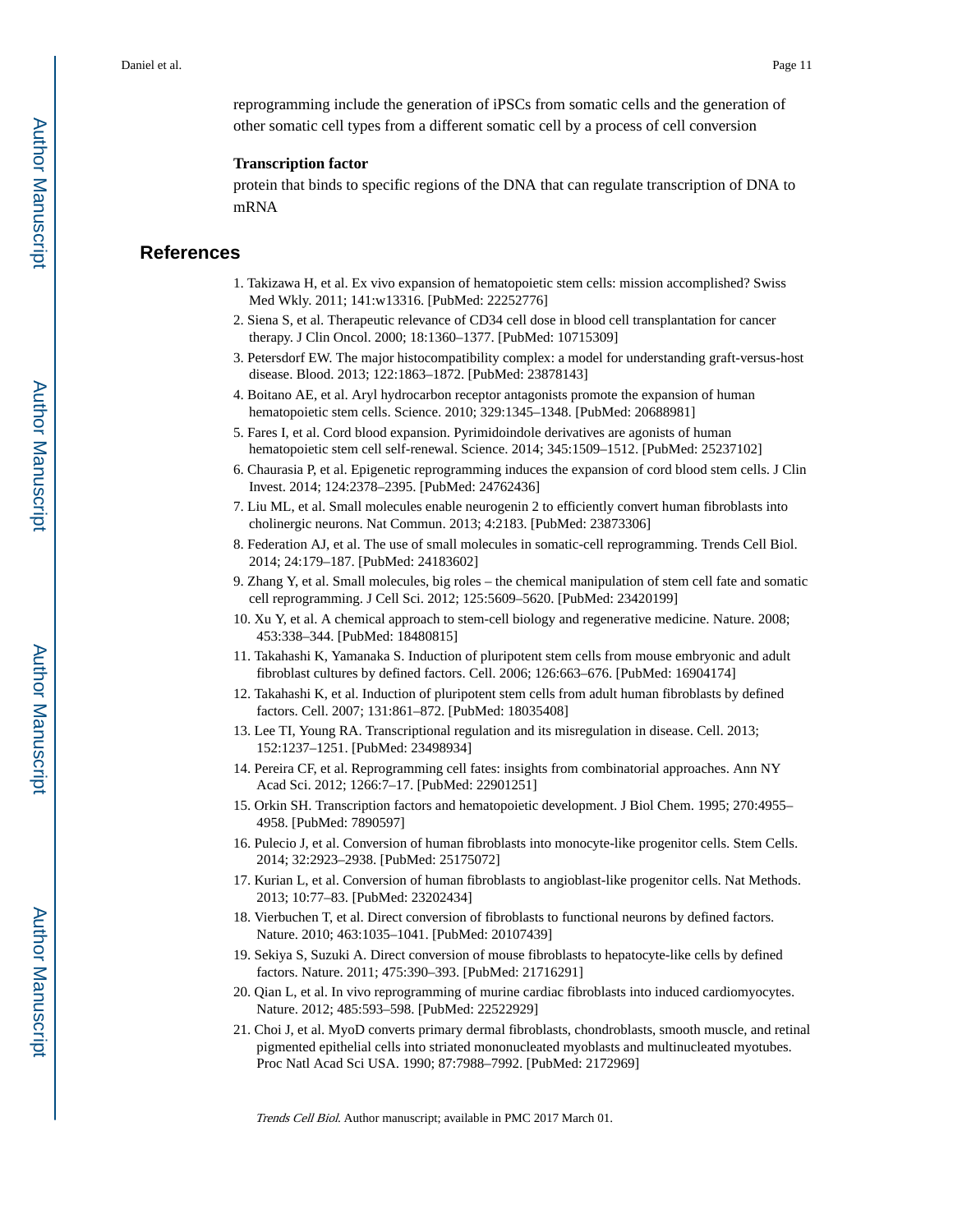reprogramming include the generation of iPSCs from somatic cells and the generation of other somatic cell types from a different somatic cell by a process of cell conversion

#### **Transcription factor**

protein that binds to specific regions of the DNA that can regulate transcription of DNA to mRNA

#### **References**

- 1. Takizawa H, et al. Ex vivo expansion of hematopoietic stem cells: mission accomplished? Swiss Med Wkly. 2011; 141:w13316. [PubMed: 22252776]
- 2. Siena S, et al. Therapeutic relevance of CD34 cell dose in blood cell transplantation for cancer therapy. J Clin Oncol. 2000; 18:1360–1377. [PubMed: 10715309]
- 3. Petersdorf EW. The major histocompatibility complex: a model for understanding graft-versus-host disease. Blood. 2013; 122:1863–1872. [PubMed: 23878143]
- 4. Boitano AE, et al. Aryl hydrocarbon receptor antagonists promote the expansion of human hematopoietic stem cells. Science. 2010; 329:1345–1348. [PubMed: 20688981]
- 5. Fares I, et al. Cord blood expansion. Pyrimidoindole derivatives are agonists of human hematopoietic stem cell self-renewal. Science. 2014; 345:1509–1512. [PubMed: 25237102]
- 6. Chaurasia P, et al. Epigenetic reprogramming induces the expansion of cord blood stem cells. J Clin Invest. 2014; 124:2378–2395. [PubMed: 24762436]
- 7. Liu ML, et al. Small molecules enable neurogenin 2 to efficiently convert human fibroblasts into cholinergic neurons. Nat Commun. 2013; 4:2183. [PubMed: 23873306]
- 8. Federation AJ, et al. The use of small molecules in somatic-cell reprogramming. Trends Cell Biol. 2014; 24:179–187. [PubMed: 24183602]
- 9. Zhang Y, et al. Small molecules, big roles the chemical manipulation of stem cell fate and somatic cell reprogramming. J Cell Sci. 2012; 125:5609–5620. [PubMed: 23420199]
- 10. Xu Y, et al. A chemical approach to stem-cell biology and regenerative medicine. Nature. 2008; 453:338–344. [PubMed: 18480815]
- 11. Takahashi K, Yamanaka S. Induction of pluripotent stem cells from mouse embryonic and adult fibroblast cultures by defined factors. Cell. 2006; 126:663–676. [PubMed: 16904174]
- 12. Takahashi K, et al. Induction of pluripotent stem cells from adult human fibroblasts by defined factors. Cell. 2007; 131:861–872. [PubMed: 18035408]
- 13. Lee TI, Young RA. Transcriptional regulation and its misregulation in disease. Cell. 2013; 152:1237–1251. [PubMed: 23498934]
- 14. Pereira CF, et al. Reprogramming cell fates: insights from combinatorial approaches. Ann NY Acad Sci. 2012; 1266:7–17. [PubMed: 22901251]
- 15. Orkin SH. Transcription factors and hematopoietic development. J Biol Chem. 1995; 270:4955– 4958. [PubMed: 7890597]
- 16. Pulecio J, et al. Conversion of human fibroblasts into monocyte-like progenitor cells. Stem Cells. 2014; 32:2923–2938. [PubMed: 25175072]
- 17. Kurian L, et al. Conversion of human fibroblasts to angioblast-like progenitor cells. Nat Methods. 2013; 10:77–83. [PubMed: 23202434]
- 18. Vierbuchen T, et al. Direct conversion of fibroblasts to functional neurons by defined factors. Nature. 2010; 463:1035–1041. [PubMed: 20107439]
- 19. Sekiya S, Suzuki A. Direct conversion of mouse fibroblasts to hepatocyte-like cells by defined factors. Nature. 2011; 475:390–393. [PubMed: 21716291]
- 20. Qian L, et al. In vivo reprogramming of murine cardiac fibroblasts into induced cardiomyocytes. Nature. 2012; 485:593–598. [PubMed: 22522929]
- 21. Choi J, et al. MyoD converts primary dermal fibroblasts, chondroblasts, smooth muscle, and retinal pigmented epithelial cells into striated mononucleated myoblasts and multinucleated myotubes. Proc Natl Acad Sci USA. 1990; 87:7988–7992. [PubMed: 2172969]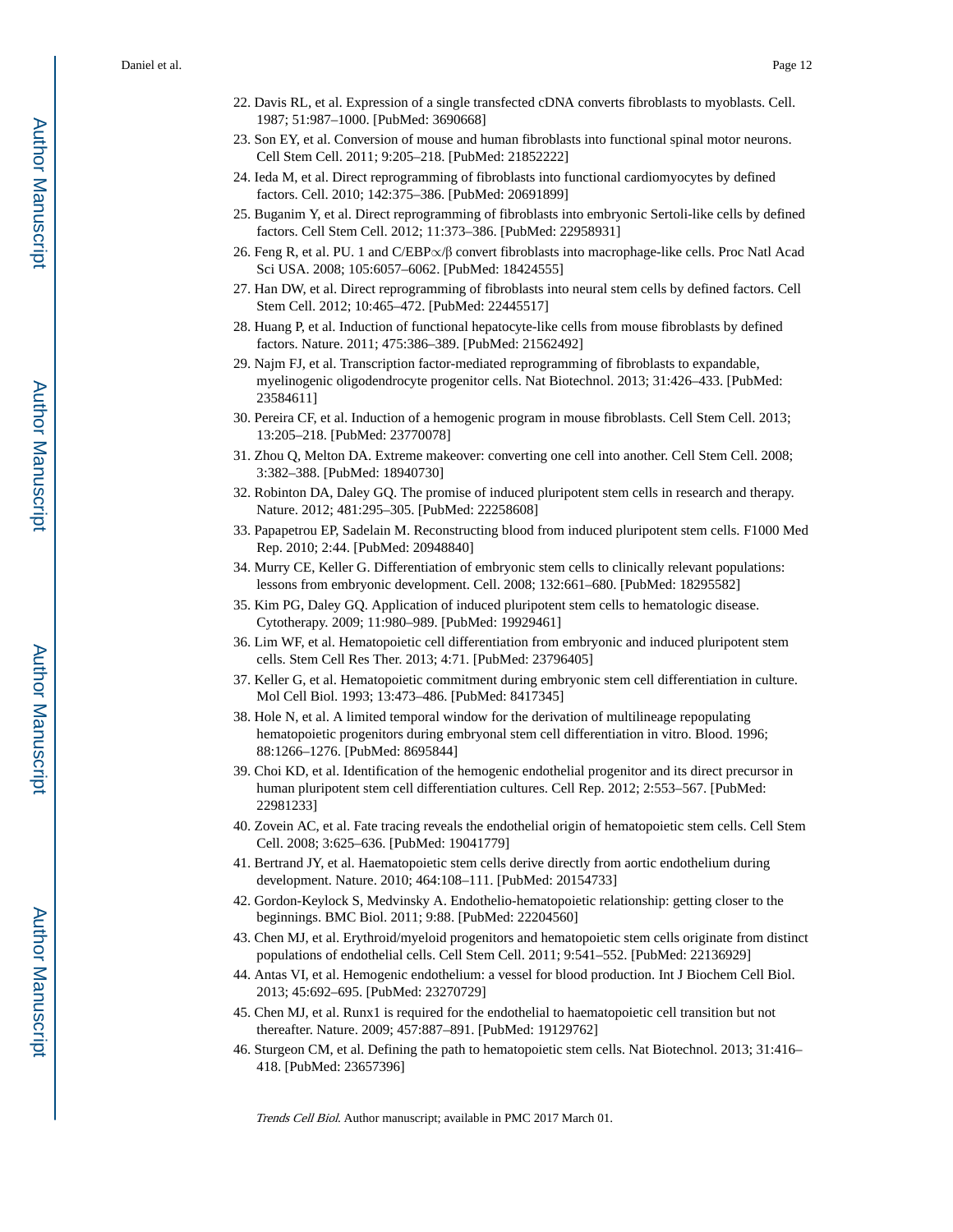- 22. Davis RL, et al. Expression of a single transfected cDNA converts fibroblasts to myoblasts. Cell. 1987; 51:987–1000. [PubMed: 3690668]
- 23. Son EY, et al. Conversion of mouse and human fibroblasts into functional spinal motor neurons. Cell Stem Cell. 2011; 9:205–218. [PubMed: 21852222]
- 24. Ieda M, et al. Direct reprogramming of fibroblasts into functional cardiomyocytes by defined factors. Cell. 2010; 142:375–386. [PubMed: 20691899]
- 25. Buganim Y, et al. Direct reprogramming of fibroblasts into embryonic Sertoli-like cells by defined factors. Cell Stem Cell. 2012; 11:373–386. [PubMed: 22958931]
- 26. Feng R, et al. PU. 1 and C/EBP∝/β convert fibroblasts into macrophage-like cells. Proc Natl Acad Sci USA. 2008; 105:6057–6062. [PubMed: 18424555]
- 27. Han DW, et al. Direct reprogramming of fibroblasts into neural stem cells by defined factors. Cell Stem Cell. 2012; 10:465–472. [PubMed: 22445517]
- 28. Huang P, et al. Induction of functional hepatocyte-like cells from mouse fibroblasts by defined factors. Nature. 2011; 475:386–389. [PubMed: 21562492]
- 29. Najm FJ, et al. Transcription factor-mediated reprogramming of fibroblasts to expandable, myelinogenic oligodendrocyte progenitor cells. Nat Biotechnol. 2013; 31:426–433. [PubMed: 23584611]
- 30. Pereira CF, et al. Induction of a hemogenic program in mouse fibroblasts. Cell Stem Cell. 2013; 13:205–218. [PubMed: 23770078]
- 31. Zhou Q, Melton DA. Extreme makeover: converting one cell into another. Cell Stem Cell. 2008; 3:382–388. [PubMed: 18940730]
- 32. Robinton DA, Daley GQ. The promise of induced pluripotent stem cells in research and therapy. Nature. 2012; 481:295–305. [PubMed: 22258608]
- 33. Papapetrou EP, Sadelain M. Reconstructing blood from induced pluripotent stem cells. F1000 Med Rep. 2010; 2:44. [PubMed: 20948840]
- 34. Murry CE, Keller G. Differentiation of embryonic stem cells to clinically relevant populations: lessons from embryonic development. Cell. 2008; 132:661–680. [PubMed: 18295582]
- 35. Kim PG, Daley GQ. Application of induced pluripotent stem cells to hematologic disease. Cytotherapy. 2009; 11:980–989. [PubMed: 19929461]
- 36. Lim WF, et al. Hematopoietic cell differentiation from embryonic and induced pluripotent stem cells. Stem Cell Res Ther. 2013; 4:71. [PubMed: 23796405]
- 37. Keller G, et al. Hematopoietic commitment during embryonic stem cell differentiation in culture. Mol Cell Biol. 1993; 13:473–486. [PubMed: 8417345]
- 38. Hole N, et al. A limited temporal window for the derivation of multilineage repopulating hematopoietic progenitors during embryonal stem cell differentiation in vitro. Blood. 1996; 88:1266–1276. [PubMed: 8695844]
- 39. Choi KD, et al. Identification of the hemogenic endothelial progenitor and its direct precursor in human pluripotent stem cell differentiation cultures. Cell Rep. 2012; 2:553–567. [PubMed: 22981233]
- 40. Zovein AC, et al. Fate tracing reveals the endothelial origin of hematopoietic stem cells. Cell Stem Cell. 2008; 3:625–636. [PubMed: 19041779]
- 41. Bertrand JY, et al. Haematopoietic stem cells derive directly from aortic endothelium during development. Nature. 2010; 464:108–111. [PubMed: 20154733]
- 42. Gordon-Keylock S, Medvinsky A. Endothelio-hematopoietic relationship: getting closer to the beginnings. BMC Biol. 2011; 9:88. [PubMed: 22204560]
- 43. Chen MJ, et al. Erythroid/myeloid progenitors and hematopoietic stem cells originate from distinct populations of endothelial cells. Cell Stem Cell. 2011; 9:541–552. [PubMed: 22136929]
- 44. Antas VI, et al. Hemogenic endothelium: a vessel for blood production. Int J Biochem Cell Biol. 2013; 45:692–695. [PubMed: 23270729]
- 45. Chen MJ, et al. Runx1 is required for the endothelial to haematopoietic cell transition but not thereafter. Nature. 2009; 457:887–891. [PubMed: 19129762]
- 46. Sturgeon CM, et al. Defining the path to hematopoietic stem cells. Nat Biotechnol. 2013; 31:416– 418. [PubMed: 23657396]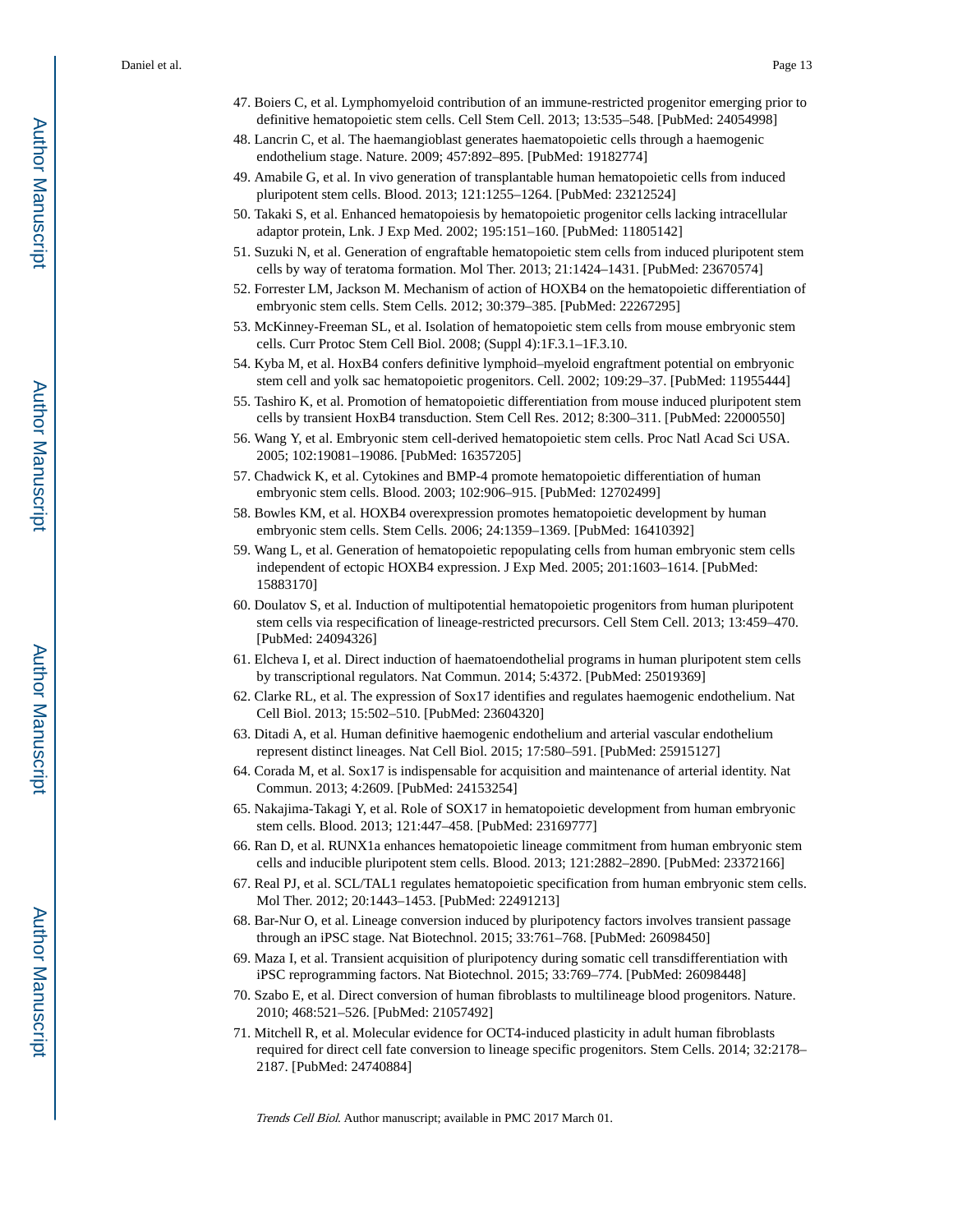- 47. Boiers C, et al. Lymphomyeloid contribution of an immune-restricted progenitor emerging prior to definitive hematopoietic stem cells. Cell Stem Cell. 2013; 13:535–548. [PubMed: 24054998]
- 48. Lancrin C, et al. The haemangioblast generates haematopoietic cells through a haemogenic endothelium stage. Nature. 2009; 457:892–895. [PubMed: 19182774]
- 49. Amabile G, et al. In vivo generation of transplantable human hematopoietic cells from induced pluripotent stem cells. Blood. 2013; 121:1255–1264. [PubMed: 23212524]
- 50. Takaki S, et al. Enhanced hematopoiesis by hematopoietic progenitor cells lacking intracellular adaptor protein, Lnk. J Exp Med. 2002; 195:151–160. [PubMed: 11805142]
- 51. Suzuki N, et al. Generation of engraftable hematopoietic stem cells from induced pluripotent stem cells by way of teratoma formation. Mol Ther. 2013; 21:1424–1431. [PubMed: 23670574]
- 52. Forrester LM, Jackson M. Mechanism of action of HOXB4 on the hematopoietic differentiation of embryonic stem cells. Stem Cells. 2012; 30:379–385. [PubMed: 22267295]
- 53. McKinney-Freeman SL, et al. Isolation of hematopoietic stem cells from mouse embryonic stem cells. Curr Protoc Stem Cell Biol. 2008; (Suppl 4):1F.3.1–1F.3.10.
- 54. Kyba M, et al. HoxB4 confers definitive lymphoid–myeloid engraftment potential on embryonic stem cell and yolk sac hematopoietic progenitors. Cell. 2002; 109:29–37. [PubMed: 11955444]
- 55. Tashiro K, et al. Promotion of hematopoietic differentiation from mouse induced pluripotent stem cells by transient HoxB4 transduction. Stem Cell Res. 2012; 8:300–311. [PubMed: 22000550]
- 56. Wang Y, et al. Embryonic stem cell-derived hematopoietic stem cells. Proc Natl Acad Sci USA. 2005; 102:19081–19086. [PubMed: 16357205]
- 57. Chadwick K, et al. Cytokines and BMP-4 promote hematopoietic differentiation of human embryonic stem cells. Blood. 2003; 102:906–915. [PubMed: 12702499]
- 58. Bowles KM, et al. HOXB4 overexpression promotes hematopoietic development by human embryonic stem cells. Stem Cells. 2006; 24:1359–1369. [PubMed: 16410392]
- 59. Wang L, et al. Generation of hematopoietic repopulating cells from human embryonic stem cells independent of ectopic HOXB4 expression. J Exp Med. 2005; 201:1603–1614. [PubMed: 15883170]
- 60. Doulatov S, et al. Induction of multipotential hematopoietic progenitors from human pluripotent stem cells via respecification of lineage-restricted precursors. Cell Stem Cell. 2013; 13:459–470. [PubMed: 24094326]
- 61. Elcheva I, et al. Direct induction of haematoendothelial programs in human pluripotent stem cells by transcriptional regulators. Nat Commun. 2014; 5:4372. [PubMed: 25019369]
- 62. Clarke RL, et al. The expression of Sox17 identifies and regulates haemogenic endothelium. Nat Cell Biol. 2013; 15:502–510. [PubMed: 23604320]
- 63. Ditadi A, et al. Human definitive haemogenic endothelium and arterial vascular endothelium represent distinct lineages. Nat Cell Biol. 2015; 17:580–591. [PubMed: 25915127]
- 64. Corada M, et al. Sox17 is indispensable for acquisition and maintenance of arterial identity. Nat Commun. 2013; 4:2609. [PubMed: 24153254]
- 65. Nakajima-Takagi Y, et al. Role of SOX17 in hematopoietic development from human embryonic stem cells. Blood. 2013; 121:447–458. [PubMed: 23169777]
- 66. Ran D, et al. RUNX1a enhances hematopoietic lineage commitment from human embryonic stem cells and inducible pluripotent stem cells. Blood. 2013; 121:2882–2890. [PubMed: 23372166]
- 67. Real PJ, et al. SCL/TAL1 regulates hematopoietic specification from human embryonic stem cells. Mol Ther. 2012; 20:1443–1453. [PubMed: 22491213]
- 68. Bar-Nur O, et al. Lineage conversion induced by pluripotency factors involves transient passage through an iPSC stage. Nat Biotechnol. 2015; 33:761–768. [PubMed: 26098450]
- 69. Maza I, et al. Transient acquisition of pluripotency during somatic cell transdifferentiation with iPSC reprogramming factors. Nat Biotechnol. 2015; 33:769–774. [PubMed: 26098448]
- 70. Szabo E, et al. Direct conversion of human fibroblasts to multilineage blood progenitors. Nature. 2010; 468:521–526. [PubMed: 21057492]
- 71. Mitchell R, et al. Molecular evidence for OCT4-induced plasticity in adult human fibroblasts required for direct cell fate conversion to lineage specific progenitors. Stem Cells. 2014; 32:2178– 2187. [PubMed: 24740884]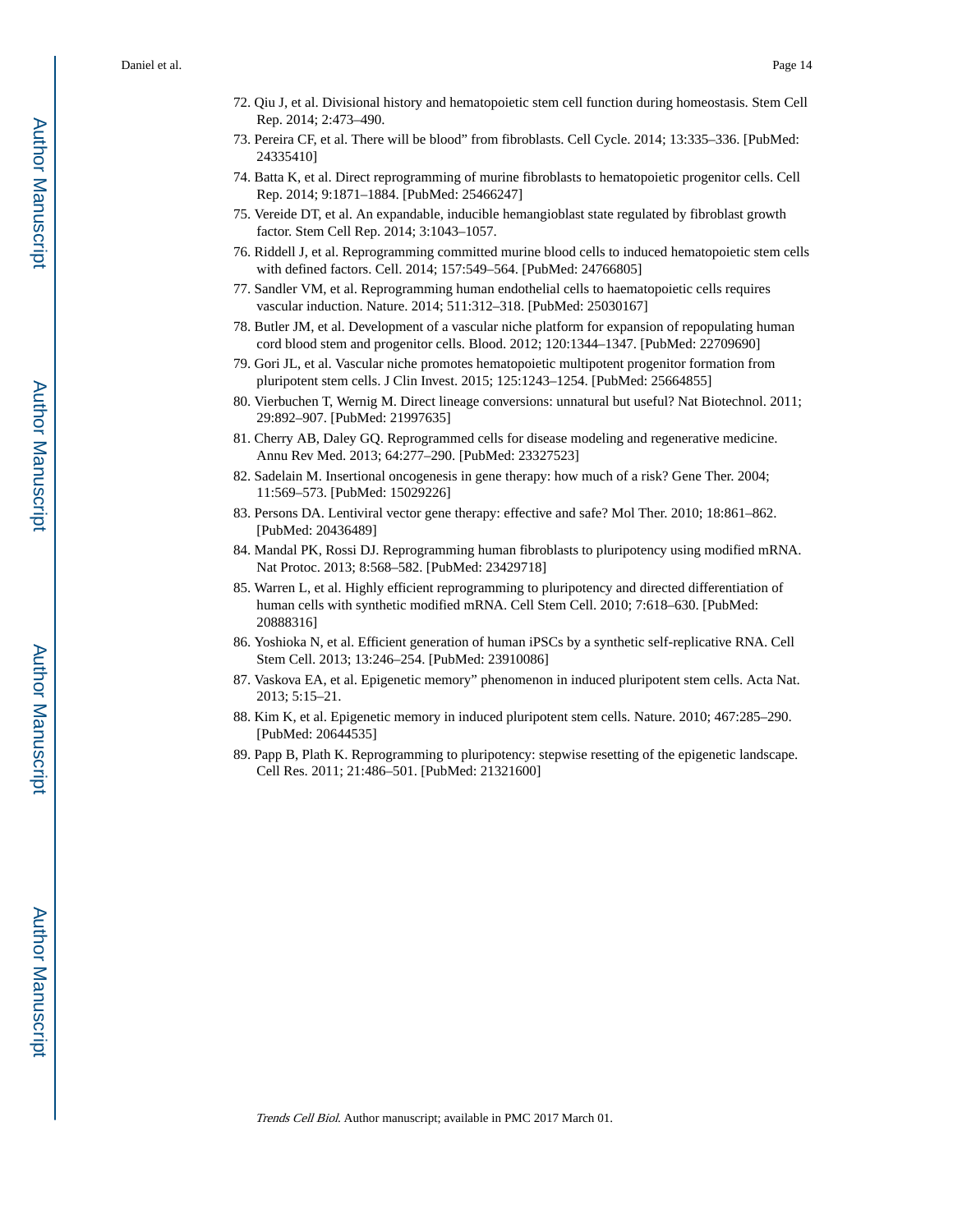- 72. Qiu J, et al. Divisional history and hematopoietic stem cell function during homeostasis. Stem Cell Rep. 2014; 2:473–490.
- 73. Pereira CF, et al. There will be blood" from fibroblasts. Cell Cycle. 2014; 13:335–336. [PubMed: 24335410]
- 74. Batta K, et al. Direct reprogramming of murine fibroblasts to hematopoietic progenitor cells. Cell Rep. 2014; 9:1871–1884. [PubMed: 25466247]
- 75. Vereide DT, et al. An expandable, inducible hemangioblast state regulated by fibroblast growth factor. Stem Cell Rep. 2014; 3:1043–1057.
- 76. Riddell J, et al. Reprogramming committed murine blood cells to induced hematopoietic stem cells with defined factors. Cell. 2014; 157:549–564. [PubMed: 24766805]
- 77. Sandler VM, et al. Reprogramming human endothelial cells to haematopoietic cells requires vascular induction. Nature. 2014; 511:312–318. [PubMed: 25030167]
- 78. Butler JM, et al. Development of a vascular niche platform for expansion of repopulating human cord blood stem and progenitor cells. Blood. 2012; 120:1344–1347. [PubMed: 22709690]
- 79. Gori JL, et al. Vascular niche promotes hematopoietic multipotent progenitor formation from pluripotent stem cells. J Clin Invest. 2015; 125:1243–1254. [PubMed: 25664855]
- 80. Vierbuchen T, Wernig M. Direct lineage conversions: unnatural but useful? Nat Biotechnol. 2011; 29:892–907. [PubMed: 21997635]
- 81. Cherry AB, Daley GQ. Reprogrammed cells for disease modeling and regenerative medicine. Annu Rev Med. 2013; 64:277–290. [PubMed: 23327523]
- 82. Sadelain M. Insertional oncogenesis in gene therapy: how much of a risk? Gene Ther. 2004; 11:569–573. [PubMed: 15029226]
- 83. Persons DA. Lentiviral vector gene therapy: effective and safe? Mol Ther. 2010; 18:861–862. [PubMed: 20436489]
- 84. Mandal PK, Rossi DJ. Reprogramming human fibroblasts to pluripotency using modified mRNA. Nat Protoc. 2013; 8:568–582. [PubMed: 23429718]
- 85. Warren L, et al. Highly efficient reprogramming to pluripotency and directed differentiation of human cells with synthetic modified mRNA. Cell Stem Cell. 2010; 7:618–630. [PubMed: 20888316]
- 86. Yoshioka N, et al. Efficient generation of human iPSCs by a synthetic self-replicative RNA. Cell Stem Cell. 2013; 13:246–254. [PubMed: 23910086]
- 87. Vaskova EA, et al. Epigenetic memory" phenomenon in induced pluripotent stem cells. Acta Nat. 2013; 5:15–21.
- 88. Kim K, et al. Epigenetic memory in induced pluripotent stem cells. Nature. 2010; 467:285–290. [PubMed: 20644535]
- 89. Papp B, Plath K. Reprogramming to pluripotency: stepwise resetting of the epigenetic landscape. Cell Res. 2011; 21:486–501. [PubMed: 21321600]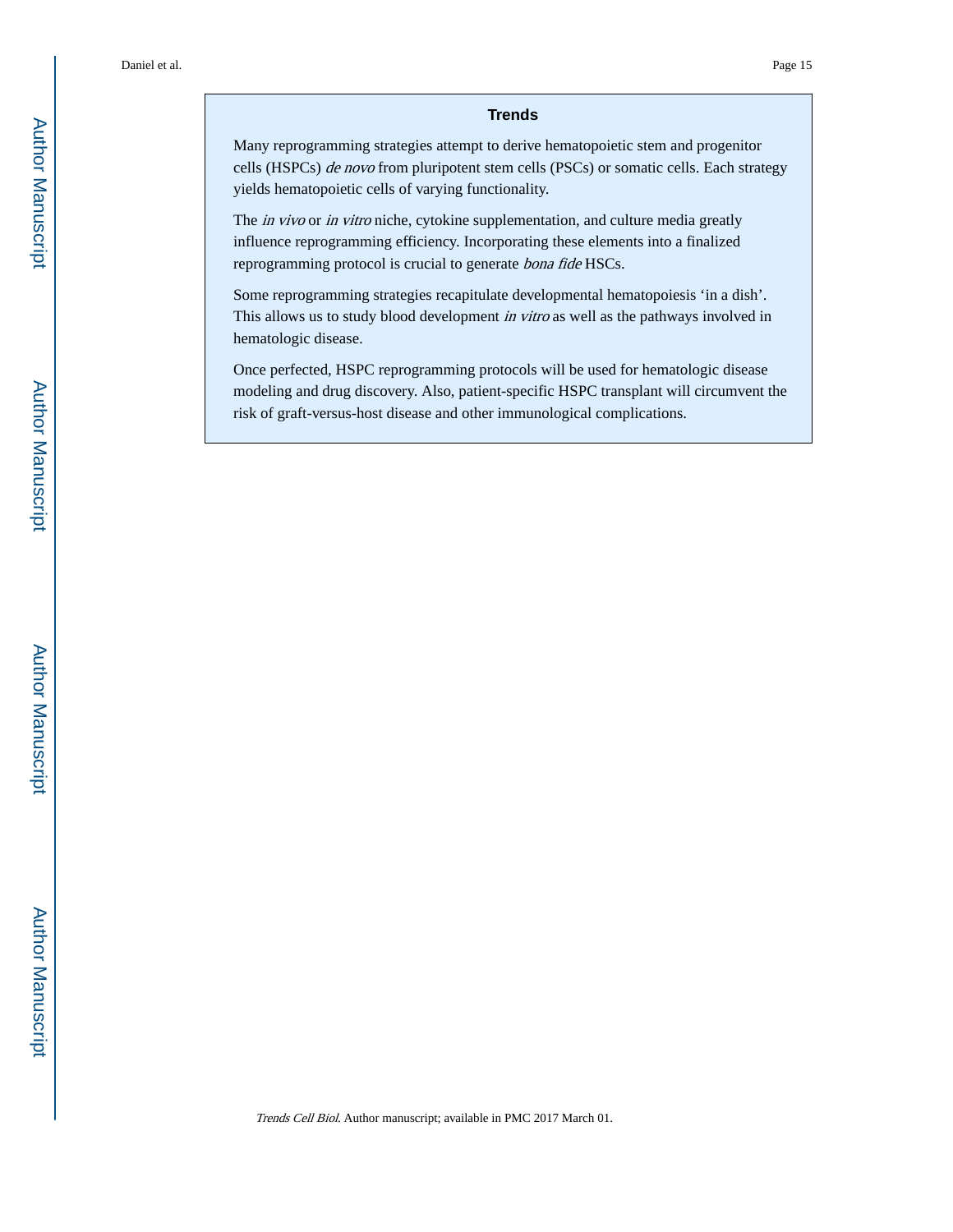#### **Trends**

Many reprogramming strategies attempt to derive hematopoietic stem and progenitor cells (HSPCs) de novo from pluripotent stem cells (PSCs) or somatic cells. Each strategy yields hematopoietic cells of varying functionality.

The *in vivo* or *in vitro* niche, cytokine supplementation, and culture media greatly influence reprogramming efficiency. Incorporating these elements into a finalized reprogramming protocol is crucial to generate bona fide HSCs.

Some reprogramming strategies recapitulate developmental hematopoiesis 'in a dish'. This allows us to study blood development in vitro as well as the pathways involved in hematologic disease.

Once perfected, HSPC reprogramming protocols will be used for hematologic disease modeling and drug discovery. Also, patient-specific HSPC transplant will circumvent the risk of graft-versus-host disease and other immunological complications.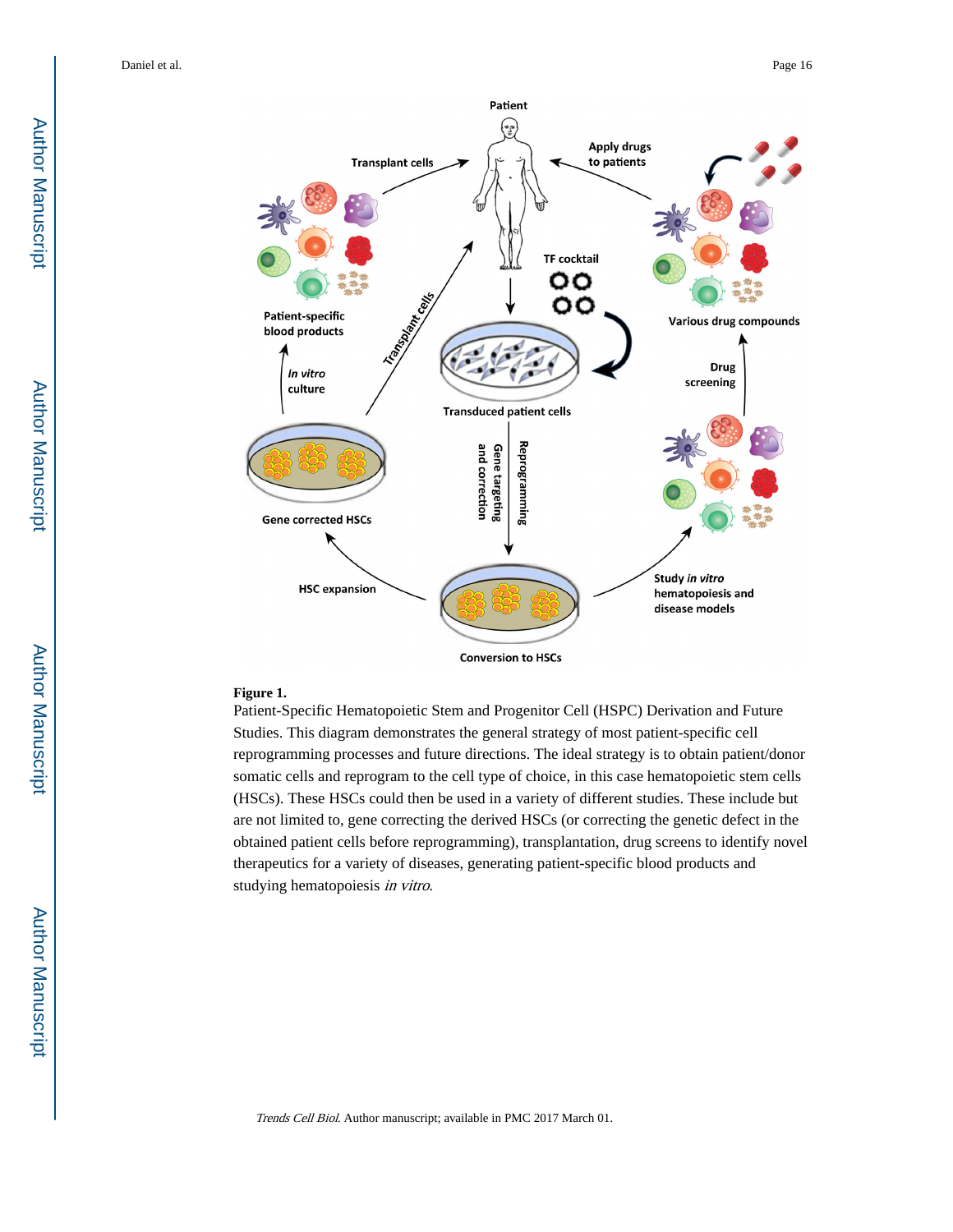

**Conversion to HSCs** 

#### **Figure 1.**

Patient-Specific Hematopoietic Stem and Progenitor Cell (HSPC) Derivation and Future Studies. This diagram demonstrates the general strategy of most patient-specific cell reprogramming processes and future directions. The ideal strategy is to obtain patient/donor somatic cells and reprogram to the cell type of choice, in this case hematopoietic stem cells (HSCs). These HSCs could then be used in a variety of different studies. These include but are not limited to, gene correcting the derived HSCs (or correcting the genetic defect in the obtained patient cells before reprogramming), transplantation, drug screens to identify novel therapeutics for a variety of diseases, generating patient-specific blood products and studying hematopoiesis in vitro.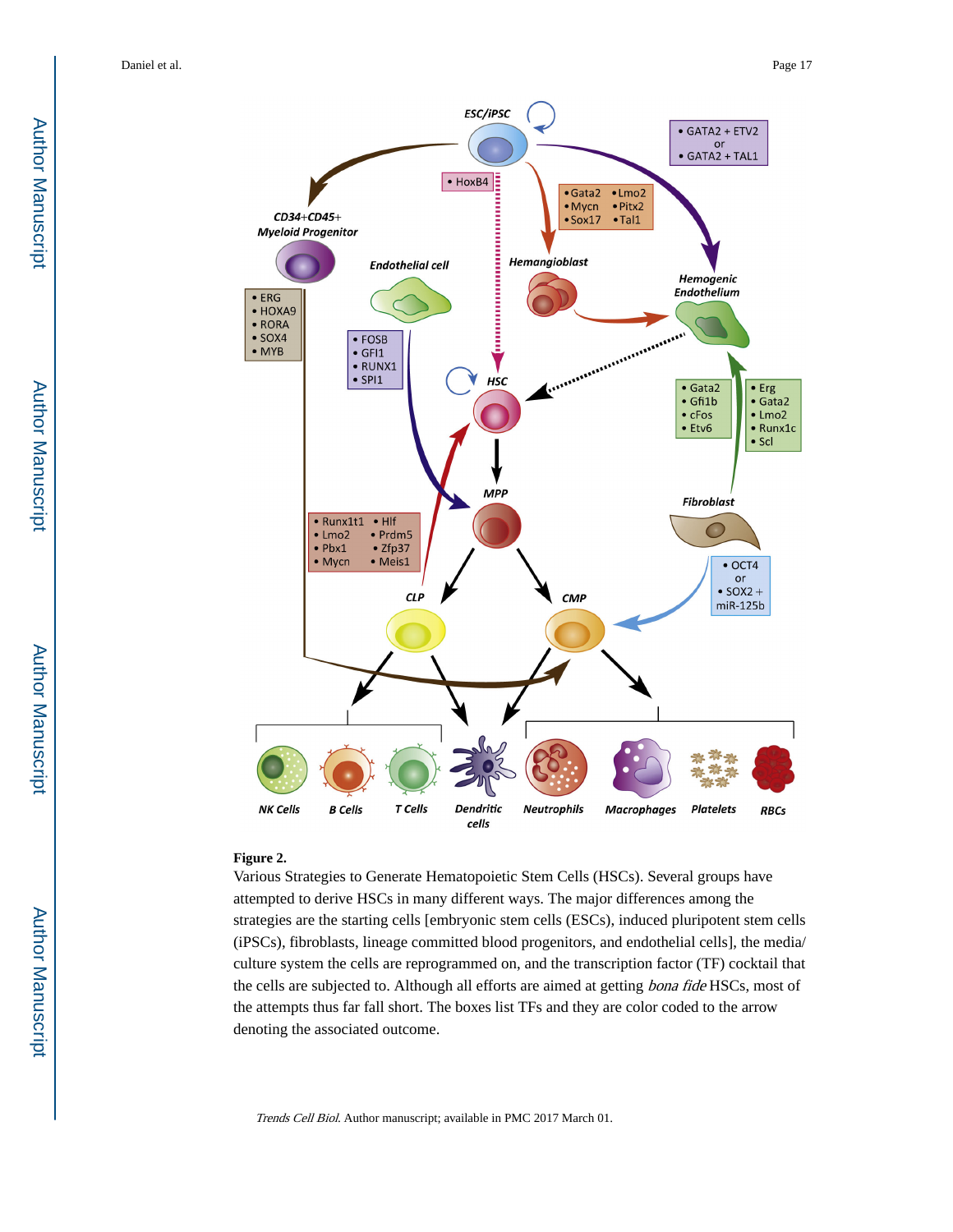

#### **Figure 2.**

Various Strategies to Generate Hematopoietic Stem Cells (HSCs). Several groups have attempted to derive HSCs in many different ways. The major differences among the strategies are the starting cells [embryonic stem cells (ESCs), induced pluripotent stem cells (iPSCs), fibroblasts, lineage committed blood progenitors, and endothelial cells], the media/ culture system the cells are reprogrammed on, and the transcription factor (TF) cocktail that the cells are subjected to. Although all efforts are aimed at getting *bona fide* HSCs, most of the attempts thus far fall short. The boxes list TFs and they are color coded to the arrow denoting the associated outcome.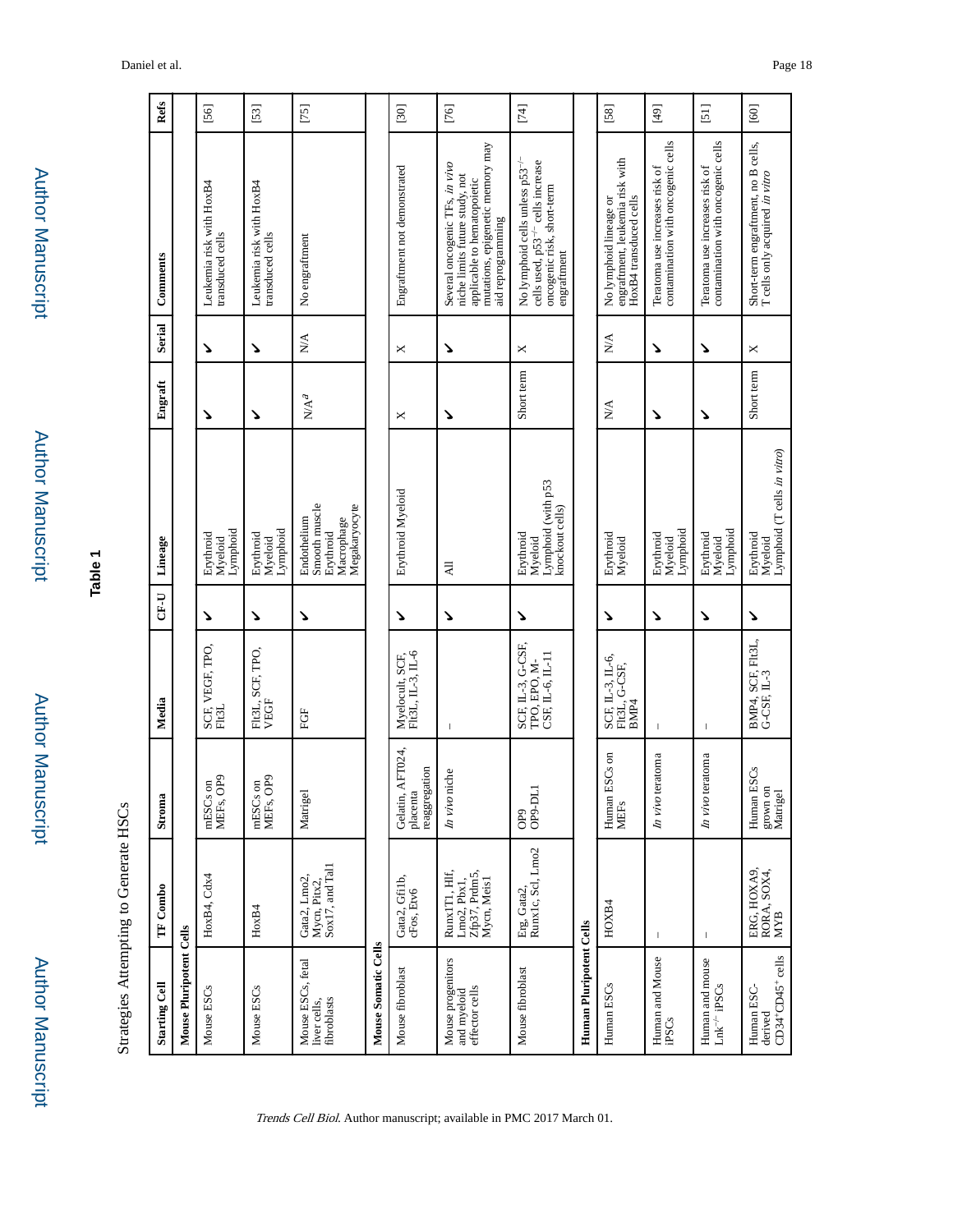| 'n     |
|--------|
|        |
|        |
|        |
|        |
|        |
| l<br>ī |
|        |
|        |
|        |
|        |
|        |
|        |
|        |
|        |
|        |
|        |
|        |
|        |
|        |
|        |
|        |
|        |
|        |
|        |
|        |
|        |
|        |
|        |
|        |
|        |
|        |
|        |
|        |
| ×      |
|        |
|        |
|        |
|        |
|        |

Author Manuscript

**Author Manuscript** 

Author Manuscript

Author Manuscript

**Table 1**

Strategies Attempting to Generate HSCs Strategies Attempting to Generate HSCs

| <b>Starting Cell</b>                               | TF Combo                                                     | Stroma                                           | Media                                                                            | CF-U | Lineage                                                                  | Engraft                   | Serial           | Comments                                                                                                                                                 | Refs                               |
|----------------------------------------------------|--------------------------------------------------------------|--------------------------------------------------|----------------------------------------------------------------------------------|------|--------------------------------------------------------------------------|---------------------------|------------------|----------------------------------------------------------------------------------------------------------------------------------------------------------|------------------------------------|
| Mouse Pluripotent Cells                            |                                                              |                                                  |                                                                                  |      |                                                                          |                           |                  |                                                                                                                                                          |                                    |
| Mouse ESCs                                         | HoxB4, Cdx4                                                  | mESCs on<br>MEFs, OP9                            | SCF, VEGF, TPO,<br>Fit3L                                                         | ↘    | Lymphoid<br>Erythroid<br>Myeloid                                         | ↘                         | ゝ                | Leukemia risk with HoxB4<br>transduced cells                                                                                                             | [56]                               |
| Mouse ESCs                                         | HoxB4                                                        | mESCs on<br>MEFs, OP9                            | FIt3L, SCF, TPO,<br>VEGF                                                         | ↘    | Lymphoid<br>Erythroid<br>Myeloid                                         | ↘                         | ↘                | Leukemia risk with HoxB4<br>transduced cells                                                                                                             | $[53]$                             |
| Mouse ESCs, fetal<br>fibroblasts<br>liver cells,   | Mycn, Pitx2,<br>Sox17, and Tal1<br>Gata2, Lmo2,              | Matrigel                                         | FGF                                                                              | ۷    | Smooth muscle<br>Megakaryocyte<br>Endothelium<br>Macrophage<br>Erythroid | $\mathbb{N}/\mathbb{A}^d$ | $\sum_{i=1}^{n}$ | No engraftment                                                                                                                                           | $[75]$                             |
| Mouse Somatic Cells                                |                                                              |                                                  |                                                                                  |      |                                                                          |                           |                  |                                                                                                                                                          |                                    |
| Mouse fibroblast                                   | Gata2, Gfi1b,<br>cFos, Etv6                                  | AFT024,<br>reaggregation<br>Gelatin,<br>placenta | $\begin{array}{l} \text{Myelocult, SCF,}\\ \text{Flt3L, IL-3, IL-6} \end{array}$ | ↘    | Erythroid Myeloid                                                        | ×                         | ×                | Engraftment not demonstrated                                                                                                                             | $[30]$                             |
| Mouse progenitors<br>effector cells<br>and myeloid | Runx1T1, Hlf,<br>Lmo2, Pbx1,<br>Zfp37, Prdm5,<br>Mycn, Meis1 | niche<br>In vivo                                 | $\mathsf I$                                                                      | ↘    | $\overline{AB}$                                                          | ゝ                         | ゝ                | mutations, epigenetic memory may<br>Several oncogenic TFs, in vivo<br>niche limits future study, not<br>applicable to hematopoietic<br>aid reprogramming | $[76]$                             |
| Mouse fibroblast                                   | Erg, Gata2,<br>Runx1c, Scl, Lmo2                             | ད<br>OP9<br>OP9-DL                               | SCF, IL-3, G-CSF,<br>CSF, IL-6, IL-11<br>TPO, EPO, M-                            | ↘    | Lymphoid (with p53<br>knockout cells)<br>Erythroid<br>Myeloid            | Short term                | ×                | No lymphoid cells unless p53 <sup>-/-</sup><br>cells used, p53 <sup>-/-</sup> cells increase<br>oncogenic risk, short-term<br>engraftment                | $[74]$                             |
| Human Pluripotent Cells                            |                                                              |                                                  |                                                                                  |      |                                                                          |                           |                  |                                                                                                                                                          |                                    |
| Human ESCs                                         | HOXB4                                                        | ESCs on<br>Human<br>MEFs                         | SCF, IL-3, IL-6,<br>FIt3L, G-CSF,<br>BMP4                                        | ↘    | Erythroid<br>Myeloid                                                     | $\sum_{i=1}^{n}$          | $\sum_{i=1}^{n}$ | engraftment, leukemia risk with<br>HoxB4 transduced cells<br>No lymphoid lineage or                                                                      | $[58]$                             |
| Human and Mouse<br>iPSCs                           | T                                                            | teratoma<br>In vivo                              |                                                                                  | ゝ    | Lymphoid<br>Erythroid<br>Myeloid                                         | ↘                         | ゝ                | contamination with oncogenic cells<br>Teratoma use increases risk of                                                                                     | [49]                               |
| Human and mouse<br>$LnK^{-/-}$ iPSCs               | $\overline{\phantom{a}}$                                     | In vivo teratoma                                 | $\,$ $\,$                                                                        | ゝ    | Lymphoid<br>Erythroid<br>Myeloid                                         | ゝ                         | ゝ                | contamination with oncogenic cells<br>Teratoma use increases risk of                                                                                     | $\begin{bmatrix} 51 \end{bmatrix}$ |
| $CD34+CD45+$ cells<br>Human ESC-<br>derived        | ERG, HOXA9,<br>RORA, SOX4,<br>MYB                            | ESCs<br>grown on<br>Matrigel<br>Human            | BMP4, SCF, Flt3L,<br>G-CSF, L-3                                                  | ↘    | Erythroid<br>Myeloid<br>Lymphoid (T cells <i>in vitro</i> )              | Short term                | X                | Short-term engraftment, no B cells,<br>T cells only acquired in vitro                                                                                    | [60]                               |